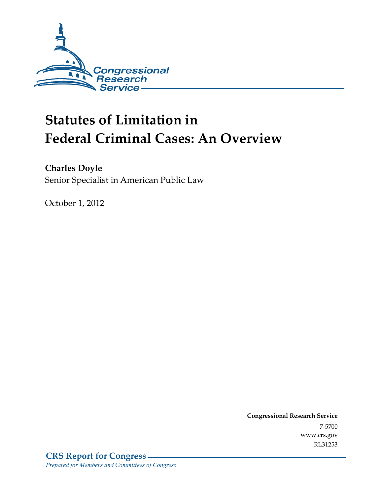

# **Statutes of Limitation in Federal Criminal Cases: An Overview**

**Charles Doyle** 

Senior Specialist in American Public Law

October 1, 2012

**Congressional Research Service**  7-5700 www.crs.gov RL31253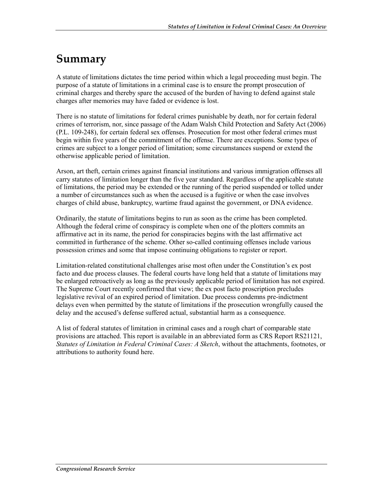## **Summary**

A statute of limitations dictates the time period within which a legal proceeding must begin. The purpose of a statute of limitations in a criminal case is to ensure the prompt prosecution of criminal charges and thereby spare the accused of the burden of having to defend against stale charges after memories may have faded or evidence is lost.

There is no statute of limitations for federal crimes punishable by death, nor for certain federal crimes of terrorism, nor, since passage of the Adam Walsh Child Protection and Safety Act (2006) (P.L. 109-248), for certain federal sex offenses. Prosecution for most other federal crimes must begin within five years of the commitment of the offense. There are exceptions. Some types of crimes are subject to a longer period of limitation; some circumstances suspend or extend the otherwise applicable period of limitation.

Arson, art theft, certain crimes against financial institutions and various immigration offenses all carry statutes of limitation longer than the five year standard. Regardless of the applicable statute of limitations, the period may be extended or the running of the period suspended or tolled under a number of circumstances such as when the accused is a fugitive or when the case involves charges of child abuse, bankruptcy, wartime fraud against the government, or DNA evidence.

Ordinarily, the statute of limitations begins to run as soon as the crime has been completed. Although the federal crime of conspiracy is complete when one of the plotters commits an affirmative act in its name, the period for conspiracies begins with the last affirmative act committed in furtherance of the scheme. Other so-called continuing offenses include various possession crimes and some that impose continuing obligations to register or report.

Limitation-related constitutional challenges arise most often under the Constitution's ex post facto and due process clauses. The federal courts have long held that a statute of limitations may be enlarged retroactively as long as the previously applicable period of limitation has not expired. The Supreme Court recently confirmed that view; the ex post facto proscription precludes legislative revival of an expired period of limitation. Due process condemns pre-indictment delays even when permitted by the statute of limitations if the prosecution wrongfully caused the delay and the accused's defense suffered actual, substantial harm as a consequence.

A list of federal statutes of limitation in criminal cases and a rough chart of comparable state provisions are attached. This report is available in an abbreviated form as CRS Report RS21121, *Statutes of Limitation in Federal Criminal Cases: A Sketch*, without the attachments, footnotes, or attributions to authority found here.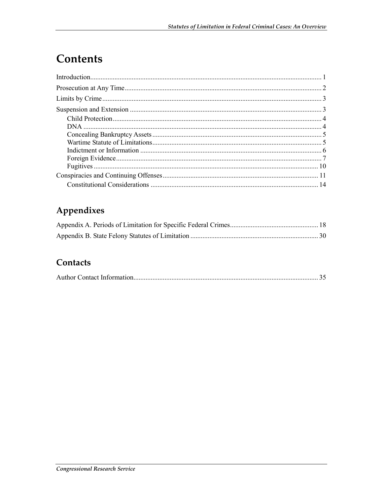## **Contents**

## Appendixes

### Contacts

|--|--|--|--|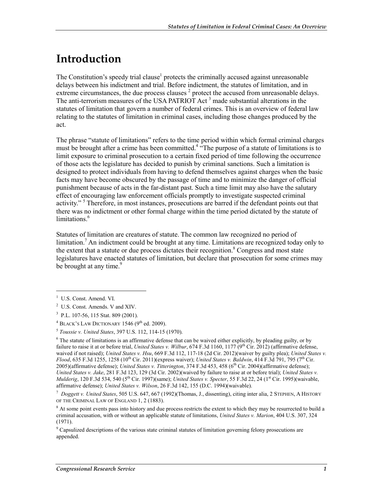## **Introduction**

The Constitution's speedy trial clause<sup>1</sup> protects the criminally accused against unreasonable delays between his indictment and trial. Before indictment, the statutes of limitation, and in extreme circumstances, the due process clauses  $2$  protect the accused from unreasonable delays. The anti-terrorism measures of the USA PATRIOT Act<sup>3</sup> made substantial alterations in the statutes of limitation that govern a number of federal crimes. This is an overview of federal law relating to the statutes of limitation in criminal cases, including those changes produced by the act.

The phrase "statute of limitations" refers to the time period within which formal criminal charges must be brought after a crime has been committed.<sup>4</sup> "The purpose of a statute of limitations is to limit exposure to criminal prosecution to a certain fixed period of time following the occurrence of those acts the legislature has decided to punish by criminal sanctions. Such a limitation is designed to protect individuals from having to defend themselves against charges when the basic facts may have become obscured by the passage of time and to minimize the danger of official punishment because of acts in the far-distant past. Such a time limit may also have the salutary effect of encouraging law enforcement officials promptly to investigate suspected criminal activity."<sup>5</sup> Therefore, in most instances, prosecutions are barred if the defendant points out that there was no indictment or other formal charge within the time period dictated by the statute of limitations.<sup>6</sup>

Statutes of limitation are creatures of statute. The common law recognized no period of limitation.<sup>7</sup> An indictment could be brought at any time. Limitations are recognized today only to the extent that a statute or due process dictates their recognition.<sup>8</sup> Congress and most state legislatures have enacted statutes of limitation, but declare that prosecution for some crimes may be brought at any time.<sup>9</sup>

1

<sup>1</sup> U.S. Const. Amend. VI.

<sup>2</sup> U.S. Const. Amends. V and XIV.

<sup>3</sup> P.L. 107-56, 115 Stat. 809 (2001).

 $4$  BLACK'S LAW DICTIONARY 1546 (9<sup>th</sup> ed. 2009).

<sup>5</sup> *Toussie v. United States*, 397 U.S. 112, 114-15 (1970).

 $6$  The statute of limitations is an affirmative defense that can be waived either explicitly, by pleading guilty, or by failure to raise it at or before trial, *United States v. Wilbur*, 674 F.3d 1160, 1177 (9<sup>th</sup> Cir. 2012) (affirmative defense, waived if not raised); *United States v. Hsu*, 669 F.3d 112, 117-18 (2d Cir. 2012)(waiver by guilty plea); *United States v. Flood*, 635 F.3d 1255, 1258 (10<sup>th</sup> Cir. 2011)(express waiver); *United States v. Baldwin*, 414 F.3d 791, 795 (7<sup>th</sup> Cir. 2005)(affirmative defense); *United States v. Titterington*, 374 F.3d 453, 458 (6th Cir. 2004)(affirmative defense); *United States v. Jake*, 281 F.3d 123, 129 (3d Cir. 2002)(waived by failure to raise at or before trial); *United States v. Mulderig*, 120 F.3d 534, 540 (5<sup>th</sup> Cir. 1997)(same); *United States v. Specter*, 55 F.3d 22, 24 (1<sup>st</sup> Cir. 1995)(waivable, affirmative defense); *United States v. Wilson*, 26 F.3d 142, 155 (D.C. 1994)(waivable).

<sup>7</sup> *Doggett v. United States*, 505 U.S. 647, 667 (1992)(Thomas, J., dissenting), citing inter alia, 2 STEPHEN, A HISTORY OF THE CRIMINAL LAW OF ENGLAND 1, 2 (1883).

<sup>&</sup>lt;sup>8</sup> At some point events pass into history and due process restricts the extent to which they may be resurrected to build a criminal accusation, with or without an applicable statute of limitations, *United States v. Marion*, 404 U.S. 307, 324 (1971).

<sup>&</sup>lt;sup>9</sup> Capsulized descriptions of the various state criminal statutes of limitation governing felony prosecutions are appended.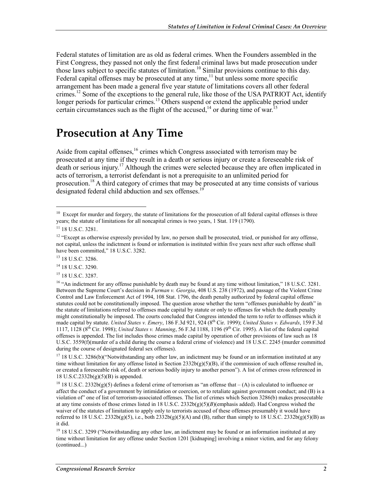Federal statutes of limitation are as old as federal crimes. When the Founders assembled in the First Congress, they passed not only the first federal criminal laws but made prosecution under those laws subject to specific statutes of limitation.<sup>10</sup> Similar provisions continue to this day. Federal capital offenses may be prosecuted at any time, $11$  but unless some more specific arrangement has been made a general five year statute of limitations covers all other federal crimes.<sup>12</sup> Some of the exceptions to the general rule, like those of the USA PATRIOT Act, identify longer periods for particular crimes.<sup>13</sup> Others suspend or extend the applicable period under certain circumstances such as the flight of the accused,<sup>14</sup> or during time of war.<sup>15</sup>

## **Prosecution at Any Time**

Aside from capital offenses,<sup>16</sup> crimes which Congress associated with terrorism may be prosecuted at any time if they result in a death or serious injury or create a foreseeable risk of death or serious injury.17 Although the crimes were selected because they are often implicated in acts of terrorism, a terrorist defendant is not a prerequisite to an unlimited period for prosecution.<sup>18</sup> A third category of crimes that may be prosecuted at any time consists of various designated federal child abduction and sex offenses.<sup>19</sup>

 $\overline{a}$ 

15 18 U.S.C. 3287.

 $10$  Except for murder and forgery, the statute of limitations for the prosecution of all federal capital offenses is three years; the statute of limitations for all noncapital crimes is two years, 1 Stat. 119 (1790).

<sup>&</sup>lt;sup>11</sup> 18 U.S.C. 3281.

<sup>&</sup>lt;sup>12</sup> "Except as otherwise expressly provided by law, no person shall be prosecuted, tried, or punished for any offense, not capital, unless the indictment is found or information is instituted within five years next after such offense shall have been committed," 18 U.S.C. 3282.

<sup>13 18</sup> U.S.C. 3286.

<sup>14 18</sup> U.S.C. 3290.

<sup>&</sup>lt;sup>16</sup> "An indictment for any offense punishable by death may be found at any time without limitation," 18 U.S.C. 3281. Between the Supreme Court's decision in *Furman v. Georgia*, 408 U.S. 238 (1972), and passage of the Violent Crime Control and Law Enforcement Act of 1994, 108 Stat. 1796, the death penalty authorized by federal capital offense statutes could not be constitutionally imposed. The question arose whether the term "offenses punishable by death" in the statute of limitations referred to offenses made capital by statute or only to offenses for which the death penalty might constitutionally be imposed. The courts concluded that Congress intended the term to refer to offenses which it made capital by statute. *United States v. Emery*, 186 F.3d 921, 924 (8th Cir. 1999); *United States v. Edwards*, 159 F.3d 1117, 1128 (8th Cir. 1998); *United States v. Manning*, 56 F.3d 1188, 1196 (9th Cir. 1995). A list of the federal capital offenses is appended. The list includes those crimes made capital by operation of other provisions of law such as 18 U.S.C. 3559(f)(murder of a child during the course a federal crime of violence) and 18 U.S.C. 2245 (murder committed during the course of designated federal sex offenses).

<sup>&</sup>lt;sup>17</sup> 18 U.S.C. 3286(b)("Notwithstanding any other law, an indictment may be found or an information instituted at any time without limitation for any offense listed in Section 2332b(g)(5)(B), if the commission of such offense resulted in, or created a foreseeable risk of, death or serious bodily injury to another person"). A list of crimes cross referenced in 18 U.S.C.2332b(g)(5)(B) is appended.

<sup>&</sup>lt;sup>18</sup> 18 U.S.C. 2332b(g)(5) defines a federal crime of terrorism as "an offense that  $-(A)$  is calculated to influence or affect the conduct of a government by intimidation or coercion, or to retaliate against government conduct; and (B) is a violation of" one of list of terrorism-associated offenses. The list of crimes which Section 3286(b) makes prosecutable at any time consists of those crimes listed in 18 U.S.C.  $2332b(g)(5)(B)$ (emphasis added). Had Congress wished the waiver of the statutes of limitation to apply only to terrorists accused of these offenses presumably it would have referred to 18 U.S.C. 2332b(g)(5), i.e., both 2332b(g)(5)(A) and (B), rather than simply to 18 U.S.C. 2332b(g)(5)(B) as it did.

<sup>&</sup>lt;sup>19</sup> 18 U.S.C. 3299 ("Notwithstanding any other law, an indictment may be found or an information instituted at any time without limitation for any offense under Section 1201 [kidnaping] involving a minor victim, and for any felony (continued...)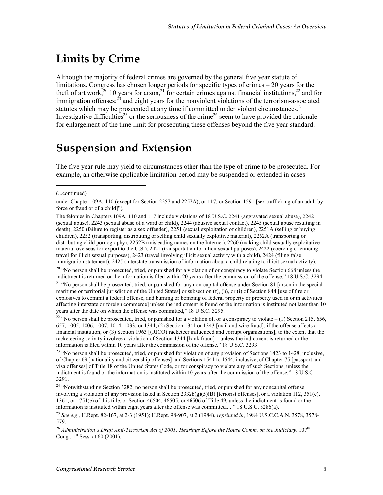## **Limits by Crime**

Although the majority of federal crimes are governed by the general five year statute of limitations, Congress has chosen longer periods for specific types of crimes – 20 years for the theft of art work;<sup>20</sup> 10 years for arson,<sup>21</sup> for certain crimes against financial institutions,<sup>22</sup> and for immigration offenses; $^{23}$  and eight years for the nonviolent violations of the terrorism-associated statutes which may be prosecuted at any time if committed under violent circumstances.<sup>24</sup> Investigative difficulties<sup>25</sup> or the seriousness of the crime<sup>26</sup> seem to have provided the rationale for enlargement of the time limit for prosecuting these offenses beyond the five year standard.

## **Suspension and Extension**

The five year rule may yield to circumstances other than the type of crime to be prosecuted. For example, an otherwise applicable limitation period may be suspended or extended in cases

(...continued)

 $\overline{a}$ 

<sup>20</sup> "No person shall be prosecuted, tried, or punished for a violation of or conspiracy to violate Section 668 unless the indictment is returned or the information is filed within 20 years after the commission of the offense," 18 U.S.C. 3294.

<sup>21</sup> "No person shall be prosecuted, tried, or punished for any non-capital offense under Section 81 [arson in the special maritime or territorial jurisdiction of the United States] or subsection (f), (h), or (i) of Section 844 [use of fire or explosives to commit a federal offense, and burning or bombing of federal property or property used in or in activities affecting interstate or foreign commerce] unless the indictment is found or the information is instituted not later than 10 years after the date on which the offense was committed," 18 U.S.C. 3295.

<sup>22</sup> "No person shall be prosecuted, tried, or punished for a violation of, or a conspiracy to violate – (1) Section 215, 656, 657, 1005, 1006, 1007, 1014, 1033, or 1344; (2) Section 1341 or 1343 [mail and wire fraud], if the offense affects a financial institution; or (3) Section 1963 [(RICO) racketeer influenced and corrupt organizations], to the extent that the racketeering activity involves a violation of Section 1344 [bank fraud] – unless the indictment is returned or the information is filed within 10 years after the commission of the offense," 18 U.S.C. 3293.

<sup>23</sup> "No person shall be prosecuted, tried, or punished for violation of any provision of Sections 1423 to 1428, inclusive, of Chapter 69 [nationality and citizenship offenses] and Sections 1541 to 1544, inclusive, of Chapter 75 [passport and visa offenses] of Title 18 of the United States Code, or for conspiracy to violate any of such Sections, unless the indictment is found or the information is instituted within 10 years after the commission of the offense," 18 U.S.C. 3291.

<sup>24</sup> "Notwithstanding Section 3282, no person shall be prosecuted, tried, or punished for any noncapital offense involving a violation of any provision listed in Section  $2332b(g)(5)(B)$  [terrorist offenses], or a violation 112, 351(e), 1361, or 1751(e) of this title, or Section 46504, 46505, or 46506 of Title 49, unless the indictment is found or the information is instituted within eight years after the offense was committed.... " 18 U.S.C. 3286(a).

<sup>25</sup> *See e.g.,* H.Rept. 82-167, at 2-3 (1951); H.Rept. 98-907, at 2 (1984), *reprinted in*, 1984 U.S.C.C.A.N. 3578, 3578- 579.

<sup>26</sup> Administration's Draft Anti-Terrorism Act of 2001: Hearings Before the House Comm. on the Judiciary, 107<sup>th</sup> Cong.,  $1^{st}$  Sess. at 60 (2001).

under Chapter 109A, 110 (except for Section 2257 and 2257A), or 117, or Section 1591 [sex trafficking of an adult by force or fraud or of a child]").

The felonies in Chapters 109A, 110 and 117 include violations of 18 U.S.C. 2241 (aggravated sexual abuse), 2242 (sexual abuse), 2243 (sexual abuse of a ward or child), 2244 (abusive sexual contact), 2245 (sexual abuse resulting in death), 2250 (failure to register as a sex offender), 2251 (sexual exploitation of children), 2251A (selling or buying children), 2252 (transporting, distributing or selling child sexually exploitive material), 2252A (transporting or distributing child pornography), 2252B (misleading names on the Internet), 2260 (making child sexually exploitative material overseas for export to the U.S.), 2421 (transportation for illicit sexual purposes), 2422 (coercing or enticing travel for illicit sexual purposes), 2423 (travel involving illicit sexual activity with a child), 2424 (filing false immigration statement), 2425 (interstate transmission of information about a child relating to illicit sexual activity).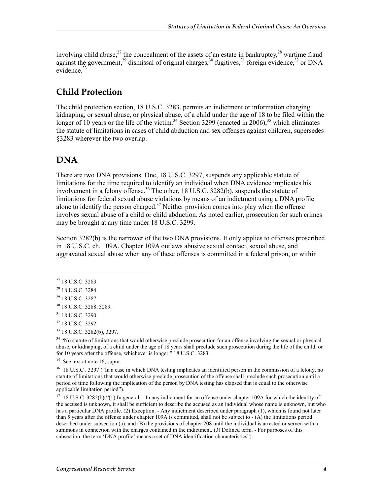involving child abuse,<sup>27</sup> the concealment of the assets of an estate in bankruptcy,<sup>28</sup> wartime fraud against the government,<sup>29</sup> dismissal of original charges,<sup>30</sup> fugitives,<sup>31</sup> foreign evidence,<sup>32</sup> or DNA evidence.<sup>33</sup>

### **Child Protection**

The child protection section, 18 U.S.C. 3283, permits an indictment or information charging kidnaping, or sexual abuse, or physical abuse, of a child under the age of 18 to be filed within the longer of 10 years or the life of the victim.<sup>34</sup> Section 3299 (enacted in 2006),<sup>35</sup> which eliminates the statute of limitations in cases of child abduction and sex offenses against children, supersedes §3283 wherever the two overlap.

### **DNA**

There are two DNA provisions. One, 18 U.S.C. 3297, suspends any applicable statute of limitations for the time required to identify an individual when DNA evidence implicates his involvement in a felony offense.<sup>36</sup> The other, 18 U.S.C. 3282(b), suspends the statute of limitations for federal sexual abuse violations by means of an indictment using a DNA profile alone to identify the person charged.<sup>37</sup> Neither provision comes into play when the offense involves sexual abuse of a child or child abduction. As noted earlier, prosecution for such crimes may be brought at any time under 18 U.S.C. 3299.

Section 3282(b) is the narrower of the two DNA provisions. It only applies to offenses proscribed in 18 U.S.C. ch. 109A. Chapter 109A outlaws abusive sexual contact, sexual abuse, and aggravated sexual abuse when any of these offenses is committed in a federal prison, or within

1

<sup>34</sup> "No statute of limitations that would otherwise preclude prosecution for an offense involving the sexual or physical abuse, or kidnaping, of a child under the age of 18 years shall preclude such prosecution during the life of the child, or for 10 years after the offense, whichever is longer," 18 U.S.C. 3283.

 $36\,$  18 U.S.C . 3297 ("In a case in which DNA testing implicates an identified person in the commission of a felony, no statute of limitations that would otherwise preclude prosecution of the offense shall preclude such prosecution until a period of time following the implication of the person by DNA testing has elapsed that is equal to the otherwise applicable limitation period").

 $37\,$  18 U.S.C. 3282(b)("(1) In general. - In any indictment for an offense under chapter 109A for which the identity of the accused is unknown, it shall be sufficient to describe the accused as an individual whose name is unknown, but who has a particular DNA profile. (2) Exception. - Any indictment described under paragraph (1), which is found not later than 5 years after the offense under chapter 109A is committed, shall not be subject to - (A) the limitations period described under subsection (a); and (B) the provisions of chapter 208 until the individual is arrested or served with a summons in connection with the charges contained in the indictment. (3) Defined term. - For purposes of this subsection, the term 'DNA profile' means a set of DNA identification characteristics").

<sup>27 18</sup> U.S.C. 3283.

<sup>28 18</sup> U.S.C. 3284.

<sup>29 18</sup> U.S.C. 3287.

<sup>30 18</sup> U.S.C. 3288, 3289.

<sup>31 18</sup> U.S.C. 3290.

<sup>32 18</sup> U.S.C. 3292.

<sup>33 18</sup> U.S.C. 3282(b), 3297.

 $35$  See text at note 16, supra.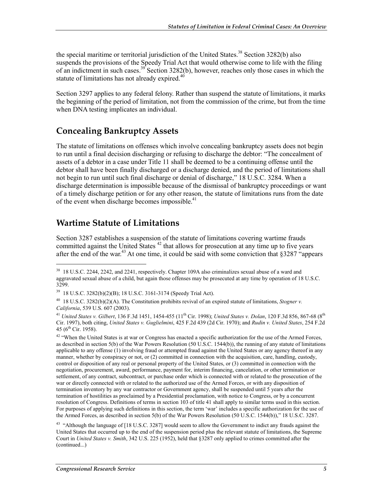the special maritime or territorial jurisdiction of the United States.<sup>38</sup> Section 3282(b) also suspends the provisions of the Speedy Trial Act that would otherwise come to life with the filing of an indictment in such cases.<sup>39</sup> Section 3282(b), however, reaches only those cases in which the statute of limitations has not already expired. $40$ 

Section 3297 applies to any federal felony. Rather than suspend the statute of limitations, it marks the beginning of the period of limitation, not from the commission of the crime, but from the time when DNA testing implicates an individual.

### **Concealing Bankruptcy Assets**

The statute of limitations on offenses which involve concealing bankruptcy assets does not begin to run until a final decision discharging or refusing to discharge the debtor: "The concealment of assets of a debtor in a case under Title 11 shall be deemed to be a continuing offense until the debtor shall have been finally discharged or a discharge denied, and the period of limitations shall not begin to run until such final discharge or denial of discharge," 18 U.S.C. 3284. When a discharge determination is impossible because of the dismissal of bankruptcy proceedings or want of a timely discharge petition or for any other reason, the statute of limitations runs from the date of the event when discharge becomes impossible.<sup>41</sup>

### **Wartime Statute of Limitations**

1

Section 3287 establishes a suspension of the statute of limitations covering wartime frauds committed against the United States  $42$  that allows for prosecution at any time up to five years after the end of the war.<sup>43</sup> At one time, it could be said with some conviction that  $83287$  "appears"

<sup>38 18</sup> U.S.C. 2244, 2242, and 2241, respectively. Chapter 109A also criminalizes sexual abuse of a ward and aggravated sexual abuse of a child, but again those offenses may be prosecuted at any time by operation of 18 U.S.C. 3299.

<sup>39 18</sup> U.S.C. 3282(b)(2)(B); 18 U.S.C. 3161-3174 (Speedy Trial Act).

<sup>40 18</sup> U.S.C. 3282(b)(2)(A). The Constitution prohibits revival of an expired statute of limitations, *Stogner v. California*, 539 U.S. 607 (2003).

<sup>41</sup> *United States v. Gilbert*, 136 F.3d 1451, 1454-455 (11th Cir. 1998); *United States v. Dolan*, 120 F.3d 856, 867-68 (8th Cir. 1997), both citing, *United States v. Guglielmini*, 425 F.2d 439 (2d Cir. 1970); and *Rudin v. United States*, 254 F.2d 45 (6<sup>th</sup> Cir. 1958).

<sup>&</sup>lt;sup>42</sup> "When the United States is at war or Congress has enacted a specific authorization for the use of the Armed Forces, as described in section 5(b) of the War Powers Resolution (50 U.S.C. 1544(b)), the running of any statute of limitations applicable to any offense (1) involving fraud or attempted fraud against the United States or any agency thereof in any manner, whether by conspiracy or not, or (2) committed in connection with the acquisition, care, handling, custody, control or disposition of any real or personal property of the United States, or (3) committed in connection with the negotiation, procurement, award, performance, payment for, interim financing, cancelation, or other termination or settlement, of any contract, subcontract, or purchase order which is connected with or related to the prosecution of the war or directly connected with or related to the authorized use of the Armed Forces, or with any disposition of termination inventory by any war contractor or Government agency, shall be suspended until 5 years after the termination of hostilities as proclaimed by a Presidential proclamation, with notice to Congress, or by a concurrent resolution of Congress. Definitions of terms in section 103 of title 41 shall apply to similar terms used in this section. For purposes of applying such definitions in this section, the term 'war' includes a specific authorization for the use of the Armed Forces, as described in section 5(b) of the War Powers Resolution (50 U.S.C. 1544(b))," 18 U.S.C. 3287.

<sup>&</sup>lt;sup>43</sup> "Although the language of [18 U.S.C. 3287] would seem to allow the Government to indict any frauds against the United States that occurred up to the end of the suspension period plus the relevant statute of limitations, the Supreme Court in *United States v. Smith*, 342 U.S. 225 (1952), held that §3287 only applied to crimes committed after the (continued...)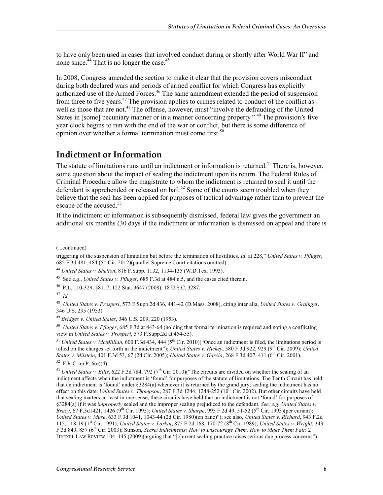to have only been used in cases that involved conduct during or shortly after World War II" and none since.<sup> $44$ </sup> That is no longer the case. $45$ 

In 2008, Congress amended the section to make it clear that the provision covers misconduct during both declared wars and periods of armed conflict for which Congress has explicitly authorized use of the Armed Forces.<sup>46</sup> The same amendment extended the period of suspension from three to five years.<sup>47</sup> The provision applies to crimes related to conduct of the conflict as well as those that are not.<sup>48</sup> The offense, however, must "involve the defrauding of the United States in [some] pecuniary manner or in a manner concerning property." <sup>49</sup> The provision's five year clock begins to run with the end of the war or conflict, but there is some difference of opinion over whether a formal termination must come first. $50$ 

### **Indictment or Information**

The statute of limitations runs until an indictment or information is returned.<sup>51</sup> There is, however, some question about the impact of sealing the indictment upon its return. The Federal Rules of Criminal Procedure allow the magistrate to whom the indictment is returned to seal it until the defendant is apprehended or released on bail.<sup>52</sup> Some of the courts seem troubled when they believe that the seal has been applied for purposes of tactical advantage rather than to prevent the escape of the accused.<sup>53</sup>

If the indictment or information is subsequently dismissed, federal law gives the government an additional six months (30 days if the indictment or information is dismissed on appeal and there is

1

50 *United States v. Pfluger*, 685 F.3d at 443-64 (holding that formal termination is required and noting a conflicting view in *United States v. Prosperi*, 573 F.Supp.2d at 454-55).

<sup>51</sup> *United States v. McMillian,* 600 F.3d 434, 444 (5<sup>th</sup> Cir. 2010)("Once an indictment is filed, the limitations period is tolled on the charges set forth in the indictment"); *United States v. Hickey*, 580 F.3d 922, 929 (9<sup>th</sup> Cir. 2009); *United States v. Milstein*, 401 F.3d 53, 67 (2d Cir. 2005); *United States v. Garcia*, 268 F.3d 407, 411 (6<sup>th</sup> Cir. 2001).

<sup>(...</sup>continued)

triggering of the suspension of limitation but before the termination of hostilities. *Id*. at 228," *United States v. Pfluger*, 685 F.3d 481, 484 ( $5<sup>th</sup>$  Cir. 2012)(parallel Supreme Court citations omitted).

<sup>44</sup> *United States v. Shelton*, 816 F.Supp. 1132, 1134-135 (W.D.Tex. 1993).

<sup>45</sup> See e.g., *United States v. Pfluger*, 685 F.3d at 484 n.5, and the cases cited therein.

<sup>46</sup> P.L. 110-329, §8117, 122 Stat. 3647 (2008), 18 U.S.C. 3287.

<sup>47</sup> *Id.*

<sup>48</sup> *United States v. Prosperi*, 573 F.Supp.2d 436, 441-42 (D.Mass. 2008), citing inter alia, *United States v. Grainger*, 346 U.S. 235 (1953).

<sup>49</sup> *Bridges v. United States*, 346 U.S. 209, 220 (1953).

 $52$  F.R.Crim.P. 6(e)(4).

<sup>&</sup>lt;sup>53</sup> *United States v. Ellis*, 622 F.3d 784, 792 (7<sup>th</sup> Cir. 2010)("The circuits are divided on whether the sealing of an indictment affects when the indictment is 'found' for purposes of the statute of limitations. The Tenth Circuit has held that an indictment is 'found' under §3284(a) whenever it is returned by the grand jury; sealing the indictment has no effect on this date. *United States v. Thompson*, 287 F.3d 1244, 1248-252 (10<sup>th</sup> Cir. 2002). But other circuits have held that sealing matters, at least in one sense; these circuits have held that an indictment is not 'found' for purposes of §3284(a) if it was *improperly* sealed and the improper sealing prejudiced to the defendant. *See, e.g. United States v. Bracy*, 67 F.3d1421, 1426 (9th Cir. 1995); *United States v. Sharpe*, 995 F.2d 49, 51-52 (5th Cir. 1993)(per curiam); *United States v. Muse*, 633 F.3d 1041, 1043-44 (2d Cir. 1980)(en banc)"); see also, *United States v. Richard*, 943 F.2d 115, 118-19 (1st Cir. 1991); *United States v. Larkin*, 875 F.2d 168, 170-72 (8th Cir. 1989); *United States v. Wright*, 343 F.3d 849, 857 (6th Cir. 2003); Stinson, *Secret Indictments: How to Discourage Them, How to Make Them Fair,* 2 DREXEL LAW REVIEW 104, 145 (2009)(arguing that "[c]urrent sealing practice raises serious due process concerns").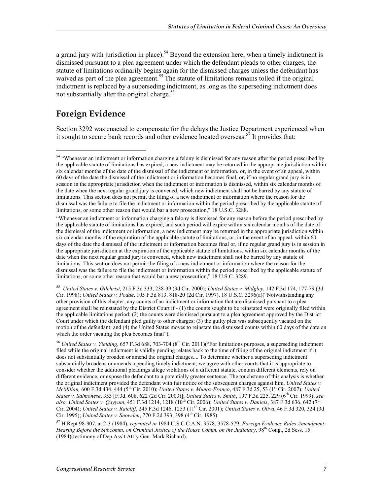a grand jury with jurisdiction in place).<sup>54</sup> Beyond the extension here, when a timely indictment is dismissed pursuant to a plea agreement under which the defendant pleads to other charges, the statute of limitations ordinarily begins again for the dismissed charges unless the defendant has waived as part of the plea agreement.<sup>55</sup> The statute of limitations remains tolled if the original indictment is replaced by a superseding indictment, as long as the superseding indictment does not substantially alter the original charge.<sup>56</sup>

### **Foreign Evidence**

1

Section 3292 was enacted to compensate for the delays the Justice Department experienced when it sought to secure bank records and other evidence located overseas.<sup>57</sup> It provides that:

<sup>55</sup> *United States v. Gilchrist*, 215 F.3d 333, 238-39 (3d Cir. 2000); *United States v. Midgley*, 142 F.3d 174, 177-79 (3d Cir. 1998); *United States v. Podde*, 105 F.3d 813, 818-20 (2d Cir. 1997). 18 U.S.C. 3296(a)("Notwithstanding any other provision of this chapter, any counts of an indictment or information that are dismissed pursuant to a plea agreement shall be reinstated by the District Court if - (1) the counts sought to be reinstated were originally filed within the applicable limitations period; (2) the counts were dismissed pursuant to a plea agreement approved by the District Court under which the defendant pled guilty to other charges; (3) the guilty plea was subsequently vacated on the motion of the defendant; and (4) the United States moves to reinstate the dismissed counts within 60 days of the date on which the order vacating the plea becomes final").

<sup>56</sup> *United States v. Yielding*, 657 F.3d 688, 703-704 (8<sup>th</sup> Cir. 2011)("For limitations purposes, a superseding indictment filed while the original indictment is validly pending relates back to the time of filing of the original indictment if it does not substantially broaden or amend the original charges.... To determine whether a superseding indictment substantially broadens or amends a pending timely indictment, we agree with other courts that it is appropriate to consider whether the additional pleadings allege violations of a different statute, contain different elements, rely on different evidence, or expose the defendant to a potentially greater sentence. The touchstone of this analysis is whether the original indictment provided the defendant with fair notice of the subsequent charges against him. *United States v. McMilian,* 600 F.3d 434, 444 (5th Cir. 2010); *United States v. Munoz-Franco*, 487 F.3d 25, 53 (1st Cir. 2007); *United States v. Salmonese*, 353 [F.3d. 608, 622 (2d Cir. 2003)]; *United States v. Smith*, 197 F.3d 225, 229 (6<sup>th</sup> Cir. 1999); *see also, United States v. Qayyum*, 451 F.3d 1214, 1218 (10th Cir. 2006); *United States v. Daniels*, 387 F.3d 636, 642 (7th Cir. 2004); *United States v. Ratcliff*, 245 F.3d 1246, 1253 (11th Cir. 2001); *United States v. Oliva*, 46 F.3d 320, 324 (3d Cir. 1995); *United States v. Snowden*, 770 F.2d 393, 398 (4<sup>th</sup> Cir. 1985).

57 H.Rept 98-907, at 2-3 (1984), *reprinted in* 1984 U.S.C.C.A.N. 3578, 3578-579; *Foreign Evidence Rules Amendment: Hearing Before the Subcomm. on Criminal Justice of the House Comm. on the Judiciary*, 98<sup>th</sup> Cong., 2d Sess. 15 (1984)(testimony of Dep.Ass't Att'y Gen. Mark Richard).

<sup>&</sup>lt;sup>54</sup> "Whenever an indictment or information charging a felony is dismissed for any reason after the period prescribed by the applicable statute of limitations has expired, a new indictment may be returned in the appropriate jurisdiction within six calendar months of the date of the dismissal of the indictment or information, or, in the event of an appeal, within 60 days of the date the dismissal of the indictment or information becomes final, or, if no regular grand jury is in session in the appropriate jurisdiction when the indictment or information is dismissed, within six calendar months of the date when the next regular grand jury is convened, which new indictment shall not be barred by any statute of limitations. This section does not permit the filing of a new indictment or information where the reason for the dismissal was the failure to file the indictment or information within the period prescribed by the applicable statute of limitations, or some other reason that would bar a new prosecution," 18 U.S.C. 3288.

<sup>&</sup>quot;Whenever an indictment or information charging a felony is dismissed for any reason before the period prescribed by the applicable statute of limitations has expired, and such period will expire within six calendar months of the date of the dismissal of the indictment or information, a new indictment may be returned in the appropriate jurisdiction within six calendar months of the expiration of the applicable statute of limitations, or, in the event of an appeal, within 60 days of the date the dismissal of the indictment or information becomes final or, if no regular grand jury is in session in the appropriate jurisdiction at the expiration of the applicable statute of limitations, within six calendar months of the date when the next regular grand jury is convened, which new indictment shall not be barred by any statute of limitations. This section does not permit the filing of a new indictment or information where the reason for the dismissal was the failure to file the indictment or information within the period prescribed by the applicable statute of limitations, or some other reason that would bar a new prosecution," 18 U.S.C. 3289.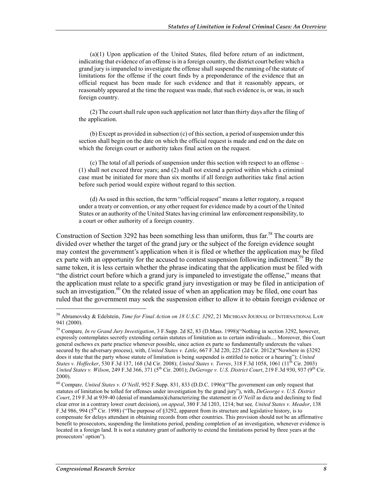(a)(1) Upon application of the United States, filed before return of an indictment, indicating that evidence of an offense is in a foreign country, the district court before which a grand jury is impaneled to investigate the offense shall suspend the running of the statute of limitations for the offense if the court finds by a preponderance of the evidence that an official request has been made for such evidence and that it reasonably appears, or reasonably appeared at the time the request was made, that such evidence is, or was, in such foreign country.

(2) The court shall rule upon such application not later than thirty days after the filing of the application.

(b) Except as provided in subsection (c) of this section, a period of suspension under this section shall begin on the date on which the official request is made and end on the date on which the foreign court or authority takes final action on the request.

(c) The total of all periods of suspension under this section with respect to an offense – (1) shall not exceed three years; and (2) shall not extend a period within which a criminal case must be initiated for more than six months if all foreign authorities take final action before such period would expire without regard to this section.

(d) As used in this section, the term "official request" means a letter rogatory, a request under a treaty or convention, or any other request for evidence made by a court of the United States or an authority of the United States having criminal law enforcement responsibility, to a court or other authority of a foreign country.

Construction of Section 3292 has been something less than uniform, thus far.<sup>58</sup> The courts are divided over whether the target of the grand jury or the subject of the foreign evidence sought may contest the government's application when it is filed or whether the application may be filed ex parte with an opportunity for the accused to contest suspension following indictment.<sup>59</sup> By the same token, it is less certain whether the phrase indicating that the application must be filed with "the district court before which a grand jury is impaneled to investigate the offense," means that the application must relate to a specific grand jury investigation or may be filed in anticipation of such an investigation. $60$  On the related issue of when an application may be filed, one court has ruled that the government may seek the suspension either to allow it to obtain foreign evidence or

 $\overline{a}$ 

<sup>58</sup> Abramovsky & Edelstein, *Time for Final Action on 18 U.S.C. 3292*, 21 MICHIGAN JOURNAL OF INTERNATIONAL LAW 941 (2000).

<sup>59</sup> Compare*, In re Grand Jury Investigation*, 3 F.Supp. 2d 82, 83 (D.Mass. 1998)("Nothing in section 3292, however, expressly contemplates secretly extending certain statutes of limitation as to certain individuals.... Moreover, this Court general eschews ex parte practice whenever possible, since action ex parte so fundamentally undercuts the values secured by the adversary process), with, *United States v. Little*, 667 F.3d 220, 225 (2d Cir. 2012)("Nowhere in §3292 does it state that the party whose statute of limitation is being suspended is entitled to notice or a hearing"); *United States v. Hoffecker*, 530 F.3d 137, 168 (3d Cir. 2008); *United States v. Torres*, 318 F.3d 1058, 1061 (11<sup>th</sup> Cir. 2003) *United States v. Wilson*, 249 F.3d 366, 371 (5<sup>th</sup> Cir. 2001); *DeGeroge v. U.S. District Court*, 219 F.3d 930, 937 (9<sup>th</sup> Cir. 2000).

<sup>60</sup> Compar*e, United States v. O'Neill*, 952 F.Supp. 831, 833 (D.D.C. 1996)("The government can only request that statutes of limitation be tolled for offenses under investigation by the grand jury"), with, *DeGeorge v. U.S. District Court*, 219 F.3d at 939-40 (denial of mandamus)(characterizing the statement in *O'Neill* as dicta and declining to find clear error in a contrary lower court decision), *on appeal*, 380 F.3d 1203, 1214; but see*, United States v. Meador*, 138 F.3d 986, 994 ( $5<sup>th</sup>$  Cir. 1998) ("The purpose of §3292, apparent from its structure and legislative history, is to compensate for delays attendant in obtaining records from other countries. This provision should not be an affirmative benefit to prosecutors, suspending the limitations period, pending completion of an investigation, whenever evidence is located in a foreign land. It is not a statutory grant of authority to extend the limitations period by three years at the prosecutors' option").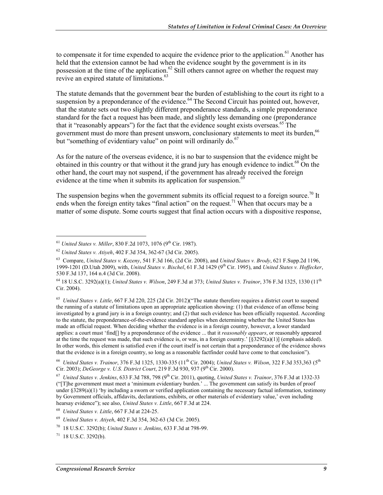to compensate it for time expended to acquire the evidence prior to the application.<sup>61</sup> Another has held that the extension cannot be had when the evidence sought by the government is in its possession at the time of the application.<sup>62</sup> Still others cannot agree on whether the request may revive an expired statute of limitations.<sup>63</sup>

The statute demands that the government bear the burden of establishing to the court its right to a suspension by a preponderance of the evidence.<sup>64</sup> The Second Circuit has pointed out, however, that the statute sets out two slightly different preponderance standards, a simple preponderance standard for the fact a request has been made, and slightly less demanding one (preponderance that it "reasonably appears") for the fact that the evidence sought exists overseas.<sup>65</sup> The government must do more than present unsworn, conclusionary statements to meet its burden.<sup>66</sup> but "something of evidentiary value" on point will ordinarily do. $67$ 

As for the nature of the overseas evidence, it is no bar to suspension that the evidence might be obtained in this country or that without it the grand jury has enough evidence to indict.<sup>68</sup> On the other hand, the court may not suspend, if the government has already received the foreign evidence at the time when it submits its application for suspension.<sup>69</sup>

The suspension begins when the government submits its official request to a foreign source.<sup>70</sup> It ends when the foreign entity takes "final action" on the request.<sup>71</sup> When that occurs may be a matter of some dispute. Some courts suggest that final action occurs with a dispositive response,

65 *United States v. Little*, 667 F.3d 220, 225 (2d Cir. 2012)("The statute therefore requires a district court to suspend the running of a statute of limitations upon an appropriate application showing: (1) that evidence of an offense being investigated by a grand jury is in a foreign country; and (2) that such evidence has been officially requested. According to the statute, the preponderance-of-the-evidence standard applies when determining whether the United States has made an official request. When deciding whether the evidence is in a foreign country, however, a lower standard applies: a court must 'find[] by a preponderance of the evidence ... that it *reasonably appears*, or reasonably appeared at the time the request was made, that such evidence is, or was, in a foreign country.'  $\left[\frac{83292(a)(1)}{83292(a)(1)}\right]$  (emphasis added). In other words, this element is satisfied even if the court itself is not certain that a preponderance of the evidence shows that the evidence is in a foreign country, so long as a reasonable factfinder could have come to that conclusion").

1

<sup>&</sup>lt;sup>61</sup> *United States v. Miller*, 830 F.2d 1073, 1076 (9<sup>th</sup> Cir. 1987).

<sup>62</sup> *United States v. Atiyeh*, 402 F.3d 354, 362-67 (3d Cir. 2005).

<sup>63</sup> Compare, *United States v. Kozeny*, 541 F.3d 166, (2d Cir. 2008), and *United States v. Brody*, 621 F.Supp.2d 1196, 1999-1201 (D.Utah 2009), with, *United States v. Bischel*, 61 F.3d 1429 (9th Cir. 1995), and *United States v. Hoffecker*, 530 F.3d 137, 164 n.4 (3d Cir. 2008).

<sup>64 18</sup> U.S.C. 3292(a)(1); *United States v. Wilson*, 249 F.3d at 373; *United States v. Trainor*, 376 F.3d 1325, 1330 (11th Cir. 2004).

<sup>66</sup> *United States v. Trainor*, 376 F.3d 1325, 1330-335 (11th Cir. 2004); *United States v. Wilson*, 322 F.3d 353,363 (5th Cir. 2003); *DeGeorge v. U.S. District Court*, 219 F.3d 930, 937 (9<sup>th</sup> Cir. 2000).

<sup>67</sup> *United States v. Jenkins*, 633 F.3d 788, 798 (9th Cir. 2011), quoting, *United States v. Trainor*, 376 F.3d at 1332-33 ("[T]he government must meet a 'minimum evidentiary burden.' ... The government can satisfy its burden of proof under §3289(a)(1) 'by including a sworn or verified application containing the necessary factual information, testimony by Government officials, affidavits, declarations, exhibits, or other materials of evidentiary value,' even including hearsay evidence"); see also, *United States v. Little*, 667 F.3d at 224.

<sup>68</sup> *United States v. Little*, 667 F.3d at 224-25.

<sup>69</sup> *United States v. Atiyeh*, 402 F.3d 354, 362-63 (3d Cir. 2005).

<sup>70 18</sup> U.S.C. 3292(b); *United States v. Jenkins*, 633 F.3d at 798-99.

 $71$  18 U.S.C. 3292(b).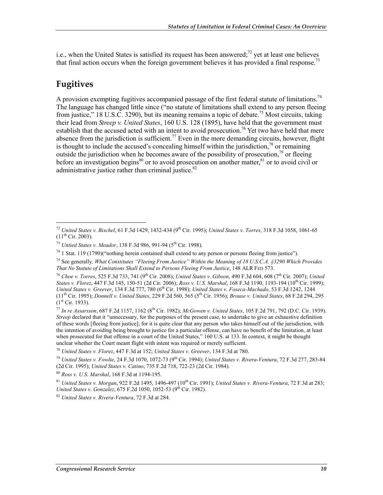i.e., when the United States is satisfied its request has been answered;<sup>72</sup> yet at least one believes that final action occurs when the foreign government believes it has provided a final response.<sup>73</sup>

### **Fugitives**

1

A provision exempting fugitives accompanied passage of the first federal statute of limitations.<sup>74</sup> The language has changed little since ("no statute of limitations shall extend to any person fleeing from justice," 18 U.S.C. 3290), but its meaning remains a topic of debate.<sup>75</sup> Most circuits, taking their lead from *Streep v. United States*, 160 U.S. 128 (1895), have held that the government must establish that the accused acted with an intent to avoid prosecution.<sup>76</sup> Yet two have held that mere absence from the jurisdiction is sufficient.<sup>77</sup> Even in the more demanding circuits, however, flight is thought to include the accused's concealing himself within the jurisdiction, $^{78}$  or remaining outside the jurisdiction when he becomes aware of the possibility of prosecution,<sup>79</sup> or fleeing before an investigation begins<sup>80</sup> or to avoid prosecution on another matter, $81$  or to avoid civil or administrative justice rather than criminal justice. $82$ 

<sup>72</sup> *United States v. Bischel*, 61 F.3d 1429, 1432-434 (9th Cir. 1995); *United States v. Torres*, 318 F.3d 1058, 1061-65  $(11^{th}$  Cir. 2003).

<sup>&</sup>lt;sup>73</sup> *Untied States v. Meador*, 138 F.3d 986, 991-94 (5<sup>th</sup> Cir. 1998).

<sup>74 1</sup> Stat. 119 (1790)("nothing herein contained shall extend to any person or persons fleeing from justice").

<sup>75</sup> See generally*, What Constitutes "Fleeing From Justice" Within the Meaning of 18 U.S.C.A. §3290 Which Provides That No Statute of Limitations Shall Extend to Persons Fleeing From Justice*, 148 ALR FED 573.

<sup>76</sup> *Choe v. Torres*, 525 F.3d 733, 741 (9th Cir. 2008); *United States v. Gibson*, 490 F.3d 604, 608 (7th Cir. 2007); *United States v. Florez*, 447 F.3d 145, 150-51 (2d Cir. 2006); *Ross v. U.S. Marshal*, 168 F.3d 1190, 1193-194 (10th Cir. 1999); *United States v. Greever*, 134 F.3d 777, 780 (6<sup>th</sup> Cir. 1998); *United States v. Foseca-Machado*, 53 F.3d 1242, 1244 (11th Cir. 1995); *Donnell v. United States*, 229 F.2d 560, 565 (5th Cir. 1956); *Brouse v. United States*, 68 F.2d 294, 295  $(1<sup>st</sup> Cir. 1933).$ 

<sup>77</sup> *In re Assarsson*, 687 F.2d 1157, 1162 (8th Cir. 1982); *McGowen v. United States*, 105 F.2d 791, 792 (D.C. Cir. 1939). *Streep* declared that it "unnecessary, for the purposes of the present case, to undertake to give an exhaustive definition of these words [fleeing from justice]; for it is quite clear that any person who takes himself out of the jurisdiction, with the intention of avoiding being brought to justice for a particular offense, can have no benefit of the limitation, at least when prosecuted for that offense in a court of the United States," 160 U.S. at 133. In context, it might be thought unclear whether the Court meant flight with intent was required or merely sufficient.

<sup>78</sup> *United States v. Florez*, 447 F.3d at 152; *United States v. Greever*, 134 F.3d at 780.

<sup>79</sup> *United States v. Fowlie*, 24 F.3d 1070, 1072-73 (9th Cir. 1994); *United States v. Rivera-Ventura*, 72 F.3d 277, 283-84 (2d Cir. 1995); *United States v. Catino*, 735 F.2d 718, 722-23 (2d Cir. 1984).

<sup>80</sup> *Ross v. U.S. Marshal*, 168 F.3d at 1194-195.

<sup>81</sup> *United States v. Morgan*, 922 F.2d 1495, 1496-497 (10th Cir. 1991); *United States v. Rivera-Ventura*, 72 F.3d at 283; *United States v. Gonzalez*, 675 F.2d 1050, 1052-53 (9<sup>th</sup> Cir. 1982).

<sup>82</sup> *United States v. Rivera-Ventura*, 72 F.3d at 284.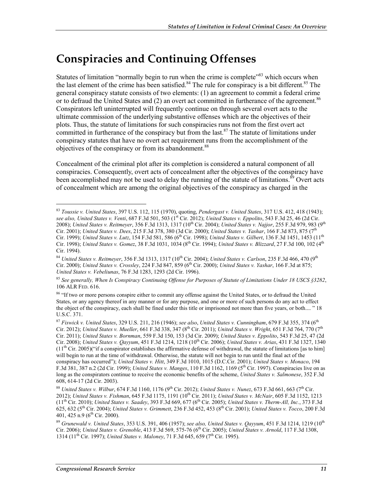## **Conspiracies and Continuing Offenses**

Statutes of limitation "normally begin to run when the crime is complete"<sup>83</sup> which occurs when the last element of the crime has been satisfied.<sup>84</sup> The rule for conspiracy is a bit different.<sup>85</sup> The general conspiracy statute consists of two elements: (1) an agreement to commit a federal crime or to defraud the United States and  $(2)$  an overt act committed in furtherance of the agreement.<sup>86</sup> Conspirators left uninterrupted will frequently continue on through several overt acts to the ultimate commission of the underlying substantive offenses which are the objectives of their plots. Thus, the statute of limitations for such conspiracies runs not from the first overt act committed in furtherance of the conspiracy but from the last. $87$  The statute of limitations under conspiracy statutes that have no overt act requirement runs from the accomplishment of the objectives of the conspiracy or from its abandonment.<sup>88</sup>

Concealment of the criminal plot after its completion is considered a natural component of all conspiracies. Consequently, overt acts of concealment after the objectives of the conspiracy have been accomplished may not be used to delay the running of the statute of limitations. $\hat{s}^9$  Overt acts of concealment which are among the original objectives of the conspiracy as charged in the

 $\overline{a}$ 

<sup>83</sup> *Toussie v. United States*, 397 U.S. 112, 115 (1970), quoting, *Pendergast v. United States*, 317 U.S. 412, 418 (1943); see also, *United States v. Venti*, 687 F.3d 501, 503 (1st Cir. 2012); *United States v. Eppolito*, 543 F.3d 25, 46 (2d Cir. 2008); *United States v. Reitmeyer*, 356 F.3d 1313, 1317 (10th Cir. 2004); *United States v. Najjor*, 255 F.3d 979, 983 (9th Cir. 2001); *United States v. Dees*, 215 F.3d 378, 380 (3d Cir. 2000); *United States v. Yashar*, 166 F.3d 873, 875 (7th Cir. 1999); *United States v. Lutz*, 154 F.3d 581, 586 (6<sup>th</sup> Cir. 1998); *United States v. Gilbert*, 136 F.3d 1451, 1453 (11<sup>th</sup> Cir. 1998); *United States v. Gomez*, 38 F.3d 1031, 1034 (8th Cir. 1994); *United States v. Blizzard*, 27 F.3d 100, 102 (4th Cir. 1994).

<sup>84</sup> *United States v. Reitmeyer*, 356 F.3d 1313, 1317 (10th Cir. 2004); *United States v. Carlson*, 235 F.3d 466, 470 (9th Cir. 2000); *United States v. Crossley*, 224 F.3d 847, 859 (6th Cir. 2000); *United States v. Yashar*, 166 F.3d at 875; *United States v. Vebeliunas*, 76 F.3d 1283, 1293 (2d Cir. 1996).

<sup>85</sup> *See generally, When Is Conspiracy Continuing Offense for Purposes of Statute of Limitations Under 18 USCS §3282*, 106 ALR FED. 616.

<sup>&</sup>lt;sup>86</sup> "If two or more persons conspire either to commit any offense against the United States, or to defraud the United States, or any agency thereof in any manner or for any purpose, and one or more of such persons do any act to effect the object of the conspiracy, each shall be fined under this title or imprisoned not more than five years, or both.... " 18 U.S.C. 371.

<sup>87</sup> *Fiswick v. United States*, 329 U.S. 211, 216 (1946); *see also*, *United States v. Cunningham*, 679 F.3d 355, 374 (6th Cir. 2012); *United States v. Mueller*, 661 F.3d 338, 347 (8<sup>th</sup> Cir. 2011); *United States v. Wright*, 651 F.3d 764, 770 (7<sup>th</sup> Cir. 2011); *United States v. Bornman*, 559 F.3d 150, 153 (3d Cir. 2009); *United States v. Eppolito*, 543 F.3d 25, 47 (2d Cir. 2008); *United States v. Qayyum*, 451 F.3d 1214, 1218 (10th Cir. 2006); *United States v. Arias*, 431 F.3d 1327, 1340  $(11<sup>th</sup> Cir. 2005)'$  (if a conspirator establishes the affirmative defense of withdrawal, the statute of limitations [as to him] will begin to run at the time of withdrawal. Otherwise, the statute will not begin to run until the final act of the conspiracy has occurred"); *United States v. Hitt*, 349 F.3d 1010, 1015 (D.C.Cir. 2001); *United States v. Monaco*, 194 F.3d 381, 387 n.2 (2d Cir. 1999); *United States v. Manges*, 110 F.3d 1162, 1169 (5th Cir. 1997). Conspiracies live on as long as the conspirators continue to receive the economic benefits of the scheme, *United States v. Salmonese*, 352 F.3d 608, 614-17 (2d Cir. 2003).

<sup>88</sup> *United States v. Wilbur*, 674 F.3d 1160, 1176 (9th Cir. 2012); *United States v. Nunez*, 673 F.3d 661, 663 (7th Cir. 2012); *United States v. Fishman*, 645 F.3d 1175, 1191 (10th Cir. 2011); *United States v. McNair*, 605 F.3d 1152, 1213 (11th Cir. 2010); *United States v. Saadey*, 393 F.3d 669, 677 (6th Cir. 2005); *United States v. Therm-All, Inc.*, 373 F.3d 625, 632 (5th Cir. 2004); *United States v. Grimmett*, 236 F.3d 452, 453 (8th Cir. 2001); *United States v. Tocco*, 200 F.3d 401, 425 n.9 ( $6^{th}$  Cir. 2000).

<sup>89</sup> *Grunewald v. United States*, 353 U.S. 391, 406 (1957); *see also, United States v. Qayyum*, 451 F.3d 1214, 1219 (10th Cir. 2006); *United States v. Grenoble*, 413 F.3d 569, 575-76 (6th Cir. 2005); *United States v. Arnold*, 117 F.3d 1308, 1314 (11th Cir. 1997); *United States v. Maloney*, 71 F.3d 645, 659 (7th Cir. 1995).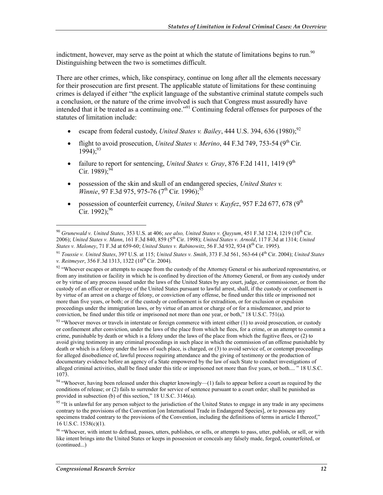indictment, however, may serve as the point at which the statute of limitations begins to run.<sup>90</sup> Distinguishing between the two is sometimes difficult.

There are other crimes, which, like conspiracy, continue on long after all the elements necessary for their prosecution are first present. The applicable statute of limitations for these continuing crimes is delayed if either "the explicit language of the substantive criminal statute compels such a conclusion, or the nature of the crime involved is such that Congress must assuredly have intended that it be treated as a continuing one."91 Continuing federal offenses for purposes of the statutes of limitation include:

- escape from federal custody, *United States v. Bailey*, 444 U.S. 394, 636 (1980);<sup>92</sup>
- flight to avoid prosecution, *United States v. Merino*, 44 F.3d 749, 753-54 (9<sup>th</sup> Cir.  $1994$ ;<sup>93</sup>
- failure to report for sentencing, *United States v. Gray*, 876 F.2d 1411, 1419 (9<sup>th</sup>) Cir. 1989);<sup>9</sup>
- possession of the skin and skull of an endangered species, *United States v. Winnie*, 97 F.3d 975, 975-76 (7<sup>th</sup> Cir. 1996);<sup>9</sup>
- possession of counterfeit currency, *United States v. Kayfez*, 957 F.2d 677, 678 (9<sup>th</sup>) Cir. 1992):  $96$

 $93$  "Whoever moves or travels in interstate or foreign commerce with intent either (1) to avoid prosecution, or custody or confinement after conviction, under the laws of the place from which he flees, for a crime, or an attempt to commit a crime, punishable by death or which is a felony under the laws of the place from which the fugitive flees, or (2) to avoid giving testimony in any criminal proceedings in such place in which the commission of an offense punishable by death or which is a felony under the laws of such place, is charged, or (3) to avoid service of, or contempt proceedings for alleged disobedience of, lawful process requiring attendance and the giving of testimony or the production of documentary evidence before an agency of a State empowered by the law of such State to conduct investigations of alleged criminal activities, shall be fined under this title or imprisoned not more than five years, or both.... " 18 U.S.C. 1073.

<sup>94</sup> "Whoever, having been released under this chapter knowingly—(1) fails to appear before a court as required by the conditions of release; or (2) fails to surrender for service of sentence pursuant to a court order; shall be punished as provided in subsection (b) of this section," 18 U.S.C. 3146(a).

<sup>95</sup> "It is unlawful for any person subject to the jurisdiction of the United States to engage in any trade in any specimens contrary to the provisions of the Convention [on International Trade in Endangered Species], or to possess any specimens traded contrary to the provisions of the Convention, including the definitions of terms in article I thereof," 16 U.S.C. 1538(c)(1).

<sup>96</sup> "Whoever, with intent to defraud, passes, utters, publishes, or sells, or attempts to pass, utter, publish, or sell, or with like intent brings into the United States or keeps in possession or conceals any falsely made, forged, counterfeited, or (continued...)

 $\overline{a}$ 

<sup>&</sup>lt;sup>90</sup> Grunewald v. United States, 353 U.S. at 406; see also, United States v. Qayyum, 451 F.3d 1214, 1219 (10<sup>th</sup> Cir. 2006); *United States v. Mann*, 161 F.3d 840, 859 (5th Cir. 1998); *United States v. Arnold*, 117 F.3d at 1314; *United States v. Maloney*, 71 F.3d at 659-60; *United States v. Rabinowitz*, 56 F.3d 932, 934 (8<sup>th</sup> Cir. 1995).

<sup>91</sup> *Toussie v. United States*, 397 U.S. at 115; *United States v. Smith*, 373 F.3d 561, 563-64 (4th Cir. 2004); *United States v. Reitmeyer*, 356 F.3d 1313, 1322 (10<sup>th</sup> Cir. 2004).

<sup>92 &</sup>quot;Whoever escapes or attempts to escape from the custody of the Attorney General or his authorized representative, or from any institution or facility in which he is confined by direction of the Attorney General, or from any custody under or by virtue of any process issued under the laws of the United States by any court, judge, or commissioner, or from the custody of an officer or employee of the United States pursuant to lawful arrest, shall, if the custody or confinement is by virtue of an arrest on a charge of felony, or conviction of any offense, be fined under this title or imprisoned not more than five years, or both; or if the custody or confinement is for extradition, or for exclusion or expulsion proceedings under the immigration laws, or by virtue of an arrest or charge of or for a misdemeanor, and prior to conviction, be fined under this title or imprisoned not more than one year, or both," 18 U.S.C. 751(a).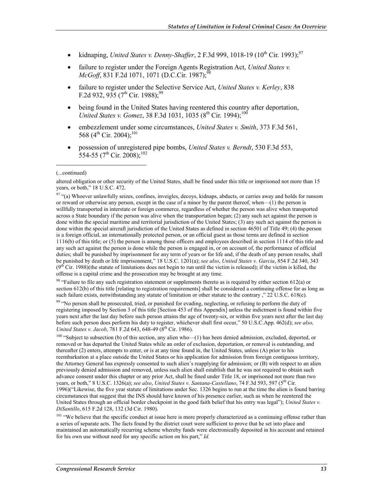- kidnaping, *United States v. Denny-Shaffer*, 2 F.3d 999, 1018-19 (10<sup>th</sup> Cir. 1993);<sup>97</sup>
- failure to register under the Foreign Agents Registration Act, *United States v. McGoff*, 831 F.2d 1071, 1071 (D.C.Cir. 1987);<sup>9</sup>
- failure to register under the Selective Service Act, *United States v. Kerley*, 838 F.2d 932, 935 (7<sup>th</sup> Cir. 1988);<sup>99</sup>
- being found in the United States having reentered this country after deportation, *United States v. Gomez*, 38 F.3d 1031, 1035 (8<sup>th</sup> Cir. 1994);<sup>100</sup>
- embezzlement under some circumstances, *United States v. Smith*, 373 F.3d 561, 568 (4<sup>th</sup> Cir. 2004);<sup>101</sup>
- possession of unregistered pipe bombs, *United States v. Berndt*, 530 F.3d 553, 554-55 (7<sup>th</sup> Cir. 2008):<sup>102</sup>

#### (...continued)

1

97 "(a) Whoever unlawfully seizes, confines, inveigles, decoys, kidnaps, abducts, or carries away and holds for ransom or reward or otherwise any person, except in the case of a minor by the parent thereof, when—(1) the person is willfully transported in interstate or foreign commerce, regardless of whether the person was alive when transported across a State boundary if the person was alive when the transportation began; (2) any such act against the person is done within the special maritime and territorial jurisdiction of the United States; (3) any such act against the person is done within the special aircraft jurisdiction of the United States as defined in section 46501 of Title 49; (4) the person is a foreign official, an internationally protected person, or an official guest as those terms are defined in section 1116(b) of this title; or (5) the person is among those officers and employees described in section 1114 of this title and any such act against the person is done while the person is engaged in, or on account of, the performance of official duties; shall be punished by imprisonment for any term of years or for life and, if the death of any person results, shall be punished by death or life imprisonment," 18 U.S.C. 1201(a); *see also*, *United States v. Garcia*, 854 F.2d 340, 343  $(9<sup>th</sup>$  Cir. 1988)(the statute of limitations does not begin to run until the victim is released); if the victim is killed, the offense is a capital crime and the prosecution may be brought at any time.

<sup>98</sup> "Failure to file any such registration statement or supplements thereto as is required by either section 612(a) or section 612(b) of this title [relating to registration requirements] shall be considered a continuing offense for as long as such failure exists, notwithstanding any statute of limitation or other statute to the contrary ," 22 U.S.C. 618(e).

<sup>99</sup> "No person shall be prosecuted, tried, or punished for evading, neglecting, or refusing to perform the duty of registering imposed by Section 3 of this title [Section 453 of this Appendix] unless the indictment is found within five years next after the last day before such person attains the age of twenty-six, or within five years next after the last day before such person does perform his duty to register, whichever shall first occur," 50 U.S.C.App. 462(d); *see also, United States v. Jacob*, 781 F.2d 643, 648-49 (8<sup>th</sup> Cir. 1986).

<sup>100</sup> "Subiect to subsection (b) of this section, any alien who—(1) has been denied admission, excluded, deported, or removed or has departed the United States while an order of exclusion, deportation, or removal is outstanding, and thereafter (2) enters, attempts to enter, or is at any time found in, the United States, unless (A) prior to his reembarkation at a place outside the United States or his application for admission from foreign contiguous territory, the Attorney General has expressly consented to such alien's reapplying for admission; or (B) with respect to an alien previously denied admission and removed, unless such alien shall establish that he was not required to obtain such advance consent under this chapter or any prior Act, shall be fined under Title 18, or imprisoned not more than two years, or both," 8 U.S.C. 1326(a); *see also*, *United States v. Santana-Castellano*, 74 F.3d 593, 597 (5th Cir. 1996)("Likewise, the five year statute of limitations under Sec. 1326 begins to run at the time the alien is found barring circumstances that suggest that the INS should have known of his presence earlier, such as when he reentered the United States through an official border checkpoint in the good faith belief that his entry was legal"); *United States v. DiSantillo*, 615 F.2d 128, 132 (3d Cir. 1980).

<sup>101</sup> "We believe that the specific conduct at issue here is more properly characterized as a continuing offense rather than a series of separate acts. The facts found by the district court were sufficient to prove that he set into place and maintained an automatically recurring scheme whereby funds were electronically deposited in his account and retained for his own use without need for any specific action on his part," *Id.*

altered obligation or other security of the United States, shall be fined under this title or imprisoned not more than 15 years, or both," 18 U.S.C. 472.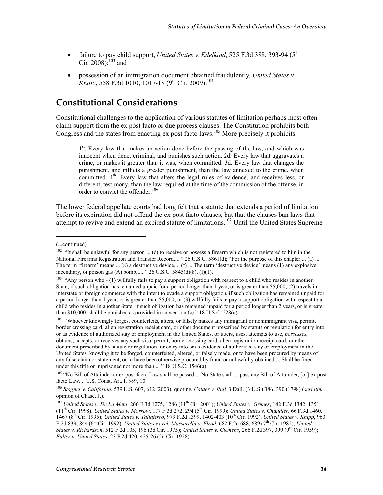- failure to pay child support, *United States v. Edelkind*, 525 F.3d 388, 393-94 (5<sup>th</sup>) Cir. 2008); $^{103}$  and
- possession of an immigration document obtained fraudulently, *United States v. Krstic*, 558 F.3d 1010, 1017-18 (9<sup>th</sup> Cir. 2009).<sup>104</sup>

### **Constitutional Considerations**

Constitutional challenges to the application of various statutes of limitation perhaps most often claim support from the ex post facto or due process clauses. The Constitution prohibits both Congress and the states from enacting ex post facto laws.<sup>105</sup> More precisely it prohibits:

 $1<sup>st</sup>$ . Every law that makes an action done before the passing of the law, and which was innocent when done, criminal; and punishes such action. 2d. Every law that aggravates a crime, or makes it greater than it was, when committed. 3d. Every law that changes the punishment, and inflicts a greater punishment, than the law annexed to the crime, when committed. 4<sup>th</sup>. Every law that alters the legal rules of evidence, and receives less, or different, testimony, than the law required at the time of the commission of the offense, in order to convict the offender.<sup>106</sup>

The lower federal appellate courts had long felt that a statute that extends a period of limitation before its expiration did not offend the ex post facto clauses, but that the clauses ban laws that attempt to revive and extend an expired statute of limitations.<sup>107</sup> Until the United States Supreme

 $\overline{a}$ 

<sup>105</sup> "No Bill of Attainder or ex post facto Law shall be passed.... No State shall ... pass any Bill of Attainder, [or] ex post facto Law.... U.S. Const. Art. I, §§9, 10.

<sup>106</sup> *Stogner v. California*, 539 U.S. 607, 612 (2003), quoting, *Calder v. Bull,* 3 Dall. (3 U.S.) 386, 390 (1798) (*seriatim* opinion of Chase, J.).

<sup>(...</sup>continued)

 $102$  "It shall be unlawful for any person ... (d) to receive or possess a firearm which is not registered to him in the National Firearms Registration and Transfer Record.... " 26 U.S.C. 5861(d); "For the purpose of this chapter ... (a) ... The term 'firearm' means ... (8) a destructive device.... (f) ... The term 'destructive device' means (1) any explosive, incendiary, or poison gas (A) bomb,.... "  $26$  U.S.C.  $5845(d)(8)$ ,  $(f)(1)$ .

<sup>&</sup>lt;sup>103</sup> "Any person who - (1) willfully fails to pay a support obligation with respect to a child who resides in another State, if such obligation has remained unpaid for a period longer than 1 year, or is greater than \$5,000; (2) travels in interstate or foreign commerce with the intent to evade a support obligation, if such obligation has remained unpaid for a period longer than 1 year, or is greater than \$5,000; or (3) willfully fails to pay a support obligation with respect to a child who resides in another State, if such obligation has remained unpaid for a period longer than 2 years, or is greater than \$10,000; shall be punished as provided in subsection (c)." 18 U.S.C. 228(a).

<sup>&</sup>lt;sup>104</sup> "Whoever knowingly forges, counterfeits, alters, or falsely makes any immigrant or nonimmigrant visa, permit, border crossing card, alien registration receipt card, or other document prescribed by statute or regulation for entry into or as evidence of authorized stay or employment in the United States, or utters, uses, attempts to use, *possesses*, obtains, accepts, or receives any such visa, permit, border crossing card, alien registration receipt card, or other document prescribed by statute or regulation for entry into or as evidence of authorized stay or employment in the United States, knowing it to be forged, counterfeited, altered, or falsely made, or to have been procured by means of any false claim or statement, or to have been otherwise procured by fraud or unlawfully obtained.... Shall be fined under this title or imprisoned not more than.... "18 U.S.C. 1546(a).

<sup>107</sup> *United States v. De La Mata*, 266 F.3d 1275, 1286 (11th Cir. 2001); *United States v. Grimes*, 142 F.3d 1342, 1351 (11th Cir. 1998); *United States v. Morrow*, 177 F.3d 272, 294 (5th Cir. 1999); *United States v. Chandler*, 66 F.3d 1460, 1467 (8th Cir. 1995); *United States v. Taliaferro*, 979 F.2d 1399, 1402-403 (10th Cir. 1992); *United States v. Knipp*, 963 F.2d 839, 844 (6th Cir. 1992); *United States ex rel. Massarella v. Elrod*, 682 F.2d 688, 689 (7th Cir. 1982); *United States v. Richardson*, 512 F.2d 105, 196 (3d Cir. 1975); *United States v. Clemens*, 266 F.2d 397, 399 (9th Cir. 1959); *Falter v. United States*, 23 F.2d 420, 425-26 (2d Cir. 1928).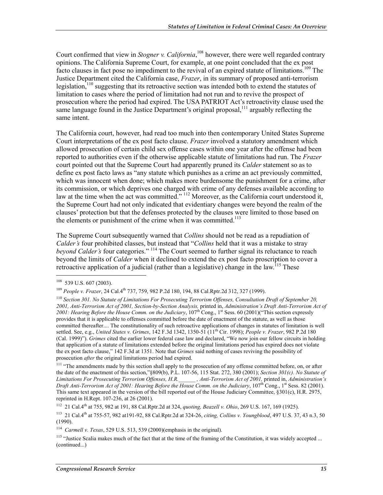Court confirmed that view in *Stogner v. California*, 108 however, there were well regarded contrary opinions. The California Supreme Court, for example, at one point concluded that the ex post facto clauses in fact pose no impediment to the revival of an expired statute of limitations.<sup>109</sup> The Justice Department cited the California case, *Frazer*, in its summary of proposed anti-terrorism legislation, $110$  suggesting that its retroactive section was intended both to extend the statutes of limitation to cases where the period of limitation had not run and to revive the prospect of prosecution where the period had expired. The USA PATRIOT Act's retroactivity clause used the same language found in the Justice Department's original proposal,  $\frac{1}{11}$  arguably reflecting the same intent.

The California court, however, had read too much into then contemporary United States Supreme Court interpretations of the ex post facto clause. *Frazer* involved a statutory amendment which allowed prosecution of certain child sex offense cases within one year after the offense had been reported to authorities even if the otherwise applicable statute of limitations had run. The *Frazer* court pointed out that the Supreme Court had apparently pruned its *Calder* statement so as to define ex post facto laws as "any statute which punishes as a crime an act previously committed, which was innocent when done; which makes more burdensome the punishment for a crime, after its commission, or which deprives one charged with crime of any defenses available according to law at the time when the act was committed." <sup>112</sup> Moreover, as the California court understood it, the Supreme Court had not only indicated that evidentiary changes were beyond the realm of the clauses' protection but that the defenses protected by the clauses were limited to those based on the elements or punishment of the crime when it was committed.<sup>113</sup>

The Supreme Court subsequently warned that *Collins* should not be read as a repudiation of *Calder's* four prohibited classes, but instead that "*Collins* held that it was a mistake to stray *beyond Calder's* four categories." <sup>114</sup> The Court seemed to further signal its reluctance to reach beyond the limits of *Calder* when it declined to extend the ex post facto proscription to cover a retroactive application of a judicial (rather than a legislative) change in the law.<sup>115</sup> These

1

<sup>108 539</sup> U.S. 607 (2003).

<sup>109</sup> *People v. Frazer*, 24 Cal.4th 737, 759, 982 P.2d 180, 194, 88 Cal.Rptr.2d 312, 327 (1999).

<sup>110</sup> *Section 301. No Statute of Limitations For Prosecuting Terrorism Offenses, Consultation Draft of September 20, 2001, Anti-Terrorism Act of 2001, Section-by-Section Analysis,* printed in, *Administration's Draft Anti-Terrorism Act of*  2001: Hearing Before the House Comm. on the Judiciary,  $107<sup>th</sup>$  Cong., 1<sup>st</sup> Sess. 60 (2001)("This section expressly provides that it is applicable to offenses committed before the date of enactment of the statute, as well as those committed thereafter.... The constitutionality of such retroactive applications of changes in statutes of limitation is well settled. See, e.g., *United States v. Grimes*, 142 F.3d 1342, 1350-51 (11th Cir. 1998); *People v. Frazer*, 982 P.2d 180 (Cal. 1999)"). *Grimes* cited the earlier lower federal case law and declared, "We now join our fellow circuits in holding that application of a statute of limitations extended before the original limitations period has expired does not violate the ex post facto clause," 142 F.3d at 1351. Note that *Grimes* said nothing of cases reviving the possibility of prosecution *after* the original limitations period had expired.

<sup>&</sup>lt;sup>111</sup> "The amendments made by this section shall apply to the prosecution of any offense committed before, on, or after the date of the enactment of this section,"§809(b), P.L. 107-56, 115 Stat. 272, 380 (2001); *Section 301(c). No Statute of Limitations For Prosecuting Terrorism Offenses, H.R.\_\_\_\_\_\_ , Anti-Terrorism Act of 2001,* printed in, *Administration's Draft Anti-Terrorism Act of 2001: Hearing Before the House Comm. on the Judiciary*, 107<sup>th</sup> Cong., 1<sup>st</sup> Sess. 82 (2001). This same text appeared in the version of the bill reported out of the House Judiciary Committee, §301(c), H.R. 2975, reprinted in H.Rept. 107-236, at 26 (2001).

<sup>112 21</sup> Cal.4th at 755, 982 at 191, 88 Cal.Rptr.2d at 324, *quoting, Beazell v. Ohio*, 269 U.S. 167, 169 (1925).

<sup>113 21</sup> Cal.4th at 755-57, 982 at191-92, 88 Cal.Rptr.2d at 324-26, *citing, Collins v. Youngblood*, 497 U.S. 37, 43 n.3, 50 (1990).

<sup>114</sup> *Carmell v. Texas*, 529 U.S. 513, 539 (2000)(emphasis in the original).

<sup>&</sup>lt;sup>115</sup> "Justice Scalia makes much of the fact that at the time of the framing of the Constitution, it was widely accepted ... (continued...)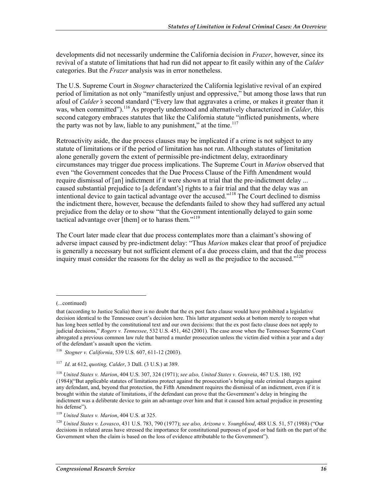developments did not necessarily undermine the California decision in *Frazer*, however, since its revival of a statute of limitations that had run did not appear to fit easily within any of the *Calder* categories. But the *Frazer* analysis was in error nonetheless.

The U.S. Supreme Court in *Stogner* characterized the California legislative revival of an expired period of limitation as not only "manifestly unjust and oppressive," but among those laws that run afoul of *Calder's* second standard ("Every law that aggravates a crime, or makes it greater than it was, when committed").<sup>116</sup> As properly understood and alternatively characterized in *Calder*, this second category embraces statutes that like the California statute "inflicted punishments, where the party was not by law, liable to any punishment," at the time.<sup>117</sup>

Retroactivity aside, the due process clauses may be implicated if a crime is not subject to any statute of limitations or if the period of limitation has not run. Although statutes of limitation alone generally govern the extent of permissible pre-indictment delay, extraordinary circumstances may trigger due process implications. The Supreme Court in *Marion* observed that even "the Government concedes that the Due Process Clause of the Fifth Amendment would require dismissal of [an] indictment if it were shown at trial that the pre-indictment delay ... caused substantial prejudice to [a defendant's] rights to a fair trial and that the delay was an intentional device to gain tactical advantage over the accused."118 The Court declined to dismiss the indictment there, however, because the defendants failed to show they had suffered any actual prejudice from the delay or to show "that the Government intentionally delayed to gain some tactical advantage over [them] or to harass them."<sup>119</sup>

The Court later made clear that due process contemplates more than a claimant's showing of adverse impact caused by pre-indictment delay: "Thus *Marion* makes clear that proof of prejudice is generally a necessary but not sufficient element of a due process claim, and that the due process inquiry must consider the reasons for the delay as well as the prejudice to the accused."<sup>120</sup>

 $\overline{a}$ 

<sup>(...</sup>continued)

that (according to Justice Scalia) there is no doubt that the ex post facto clause would have prohibited a legislative decision identical to the Tennessee court's decision here. This latter argument seeks at bottom merely to reopen what has long been settled by the constitutional text and our own decisions: that the ex post facto clause does not apply to judicial decisions," *Rogers v. Tennessee*, 532 U.S. 451, 462 (2001). The case arose when the Tennessee Supreme Court abrogated a previous common law rule that barred a murder prosecution unless the victim died within a year and a day of the defendant's assault upon the victim.

<sup>116</sup> *Stogner v. California*, 539 U.S. 607, 611-12 (2003).

<sup>117</sup> *Id*. at 612, *quoting, Calder*, 3 Dall. (3 U.S.) at 389.

<sup>118</sup> *United States v. Marion*, 404 U.S. 307, 324 (1971); *see also, United States v. Gouveia*, 467 U.S. 180, 192 (1984)("But applicable statutes of limitations protect against the prosecution's bringing stale criminal charges against any defendant, and, beyond that protection, the Fifth Amendment requires the dismissal of an indictment, even if it is brought within the statute of limitations, if the defendant can prove that the Government's delay in bringing the indictment was a deliberate device to gain an advantage over him and that it caused him actual prejudice in presenting his defense").

<sup>119</sup> *United States v. Marion*, 404 U.S. at 325.

<sup>120</sup> *United States v. Lovasco*, 431 U.S. 783, 790 (1977); *see also, Arizona v. Youngblood*, 488 U.S. 51, 57 (1988) ("Our decisions in related areas have stressed the importance for constitutional purposes of good or bad faith on the part of the Government when the claim is based on the loss of evidence attributable to the Government").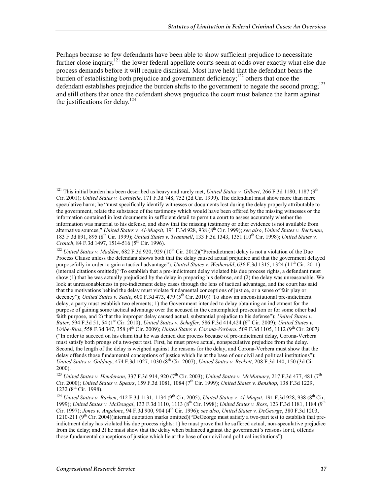Perhaps because so few defendants have been able to show sufficient prejudice to necessitate further close inquiry,<sup>121</sup> the lower federal appellate courts seem at odds over exactly what else due process demands before it will require dismissal. Most have held that the defendant bears the burden of establishing both prejudice and government deficiency;<sup>122</sup> others that once the defendant establishes prejudice the burden shifts to the government to negate the second prong;<sup>123</sup> and still others that once the defendant shows prejudice the court must balance the harm against the justifications for delay.<sup>124</sup>

1

<sup>&</sup>lt;sup>121</sup> This initial burden has been described as heavy and rarely met, *United States v. Gilbert*, 266 F.3d 1180, 1187 (9<sup>th</sup>) Cir. 2001); *United States v. Cornielle*, 171 F.3d 748, 752 (2d Cir. 1999). The defendant must show more than mere speculative harm; he "must specifically identify witnesses or documents lost during the delay properly attributable to the government, relate the substance of the testimony which would have been offered by the missing witnesses or the information contained in lost documents in sufficient detail to permit a court to assess accurately whether the information was material to his defense, and show that the missing testimony or other evidence is not available from alternative sources," *United States v. Al-Muqsit*, 191 F.3d 928, 938 (8th Cir. 1999); *see also*, *United States v. Beckman*, 183 F.3d 891, 895 (8th Cir. 1999); *United States v. Trammell*, 133 F.3d 1343, 1351 (10th Cir. 1998); *United States v. Crouch*, 84 F.3d 1497, 1514-516 (5<sup>th</sup> Cir. 1996).

<sup>&</sup>lt;sup>122</sup> *United States v. Madden*, 682 F.3d 920, 929 (10<sup>th</sup> Cir. 2012)("Preindictment delay is not a violation of the Due Process Clause unless the defendant shows both that the delay caused actual prejudice and that the government delayed purposefully in order to gain a tactical advantage"); *United States v. Wetherald*, 636 F.3d 1315, 1324 (11<sup>th</sup> Cir. 2011) (internal citations omitted)("To establish that a pre-indictment delay violated his due process rights, a defendant must show (1) that he was actually prejudiced by the delay in preparing his defense, and (2) the delay was unreasonable. We look at unreasonableness in pre-indictment delay cases through the lens of tactical advantage, and the court has said that the motivations behind the delay must violate fundamental conceptions of justice, or a sense of fair play or decency"); *United States v. Seale*, 600 F.3d 473, 479 (5<sup>th</sup> Cir. 2010)("To show an unconstitutional pre-indictment delay, a party must establish two elements; 1) the Government intended to delay obtaining an indictment for the purpose of gaining some tactical advantage over the accused in the contemplated prosecution or for some other bad faith purpose, and 2) that the improper delay caused actual, substantial prejudice to his defense"); *United States v. Bater*, 594 F.3d 51, 54 (1st Cir. 2010); *United States v. Schaffer*, 586 F.3d 414,424 (6<sup>th</sup> Cir. 2009); *United States v. Uribe-Rios*, 558 F.3d 347, 358 (4th Cir. 2009); *United States v. Corona-Verbera*, 509 F.3d 1105, 1112 (9th Cir. 2007*)*  ("In order to succeed on his claim that he was denied due process because of pre-indictment delay, Corona-Verbera must satisfy both prongs of a two-part test. First, he must prove actual, nonspeculative prejudice from the delay. Second, the length of the delay is weighed against the reasons for the delay, and Corona-Verbera must show that the delay offends those fundamental conceptions of justice which lie at the base of our civil and political institutions"); *United States v. Galdney*, 474 F.3d 1027, 1030 (8<sup>th</sup> Cir. 2007); *United States v. Beckett*, 208 F.3d 140, 150 (3d Cir. 2000).

<sup>&</sup>lt;sup>123</sup> *United States v. Henderson*, 337 F.3d 914, 920 (7<sup>th</sup> Cir. 2003); *United States v. McMutuary*, 217 F.3d 477, 481 (7<sup>th</sup> Cir. 2000); *United States v. Spears*, 159 F.3d 1081, 1084 (7th Cir. 1999); *United States v. Benshop*, 138 F.3d 1229, 1232 (8<sup>th</sup> Cir. 1998).

<sup>&</sup>lt;sup>124</sup> *United States v. Barken*, 412 F.3d 1131, 1134 (9<sup>th</sup> Cir. 2005); *United States v. Al-Muasit*, 191 F.3d 928, 938 (8<sup>th</sup> Cir. 1999); *United States v. McDougal*, 133 F.3d 1110, 1113 (8<sup>th</sup> Cir. 1998); *United States v. Ross*, 123 F.3d 1181, 1184 (9<sup>th</sup> Cir. 1997); *Jones v. Angelone*, 94 F.3d 900, 904 (4th Cir. 1996); *see also*, *United States v. DeGeorge*, 380 F.3d 1203, 1210-211 ( $9<sup>th</sup>$  Cir. 2004)(internal quotation marks omitted)("DeGeorge must satisfy a two-part test to establish that preindictment delay has violated his due process rights: 1) he must prove that he suffered actual, non-speculative prejudice from the delay; and 2) he must show that the delay when balanced against the government's reasons for it, offends those fundamental conceptions of justice which lie at the base of our civil and political institutions").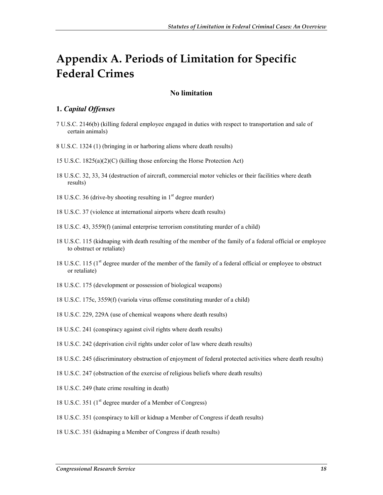## **Appendix A. Periods of Limitation for Specific Federal Crimes**

### **No limitation**

### **1.** *Capital Offenses*

- 7 U.S.C. 2146(b) (killing federal employee engaged in duties with respect to transportation and sale of certain animals)
- 8 U.S.C. 1324 (1) (bringing in or harboring aliens where death results)
- 15 U.S.C. 1825(a)(2)(C) (killing those enforcing the Horse Protection Act)
- 18 U.S.C. 32, 33, 34 (destruction of aircraft, commercial motor vehicles or their facilities where death results)
- 18 U.S.C. 36 (drive-by shooting resulting in  $1<sup>st</sup>$  degree murder)
- 18 U.S.C. 37 (violence at international airports where death results)
- 18 U.S.C. 43, 3559(f) (animal enterprise terrorism constituting murder of a child)
- 18 U.S.C. 115 (kidnaping with death resulting of the member of the family of a federal official or employee to obstruct or retaliate)
- 18 U.S.C. 115 (1<sup>st</sup> degree murder of the member of the family of a federal official or employee to obstruct or retaliate)
- 18 U.S.C. 175 (development or possession of biological weapons)
- 18 U.S.C. 175c, 3559(f) (variola virus offense constituting murder of a child)
- 18 U.S.C. 229, 229A (use of chemical weapons where death results)
- 18 U.S.C. 241 (conspiracy against civil rights where death results)
- 18 U.S.C. 242 (deprivation civil rights under color of law where death results)
- 18 U.S.C. 245 (discriminatory obstruction of enjoyment of federal protected activities where death results)
- 18 U.S.C. 247 (obstruction of the exercise of religious beliefs where death results)
- 18 U.S.C. 249 (hate crime resulting in death)
- 18 U.S.C. 351 (1<sup>st</sup> degree murder of a Member of Congress)
- 18 U.S.C. 351 (conspiracy to kill or kidnap a Member of Congress if death results)
- 18 U.S.C. 351 (kidnaping a Member of Congress if death results)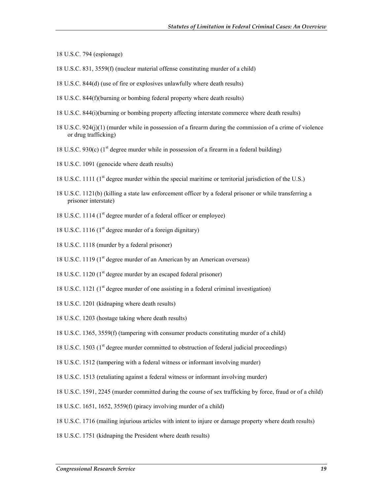- 18 U.S.C. 794 (espionage)
- 18 U.S.C. 831, 3559(f) (nuclear material offense constituting murder of a child)
- 18 U.S.C. 844(d) (use of fire or explosives unlawfully where death results)
- 18 U.S.C. 844(f)(burning or bombing federal property where death results)
- 18 U.S.C. 844(i)(burning or bombing property affecting interstate commerce where death results)
- 18 U.S.C. 924(j)(1) (murder while in possession of a firearm during the commission of a crime of violence or drug trafficking)
- 18 U.S.C. 930(c) ( $1<sup>st</sup>$  degree murder while in possession of a firearm in a federal building)
- 18 U.S.C. 1091 (genocide where death results)
- 18 U.S.C. 1111 (1<sup>st</sup> degree murder within the special maritime or territorial jurisdiction of the U.S.)
- 18 U.S.C. 1121(b) (killing a state law enforcement officer by a federal prisoner or while transferring a prisoner interstate)
- 18 U.S.C. 1114 (1<sup>st</sup> degree murder of a federal officer or employee)
- 18 U.S.C. 1116 ( $1<sup>st</sup>$  degree murder of a foreign dignitary)
- 18 U.S.C. 1118 (murder by a federal prisoner)
- 18 U.S.C. 1119 (1<sup>st</sup> degree murder of an American by an American overseas)
- 18 U.S.C. 1120  $(1<sup>st</sup>$  degree murder by an escaped federal prisoner)
- 18 U.S.C. 1121 (1<sup>st</sup> degree murder of one assisting in a federal criminal investigation)
- 18 U.S.C. 1201 (kidnaping where death results)
- 18 U.S.C. 1203 (hostage taking where death results)
- 18 U.S.C. 1365, 3559(f) (tampering with consumer products constituting murder of a child)
- 18 U.S.C. 1503 (1<sup>st</sup> degree murder committed to obstruction of federal judicial proceedings)
- 18 U.S.C. 1512 (tampering with a federal witness or informant involving murder)
- 18 U.S.C. 1513 (retaliating against a federal witness or informant involving murder)
- 18 U.S.C. 1591, 2245 (murder committed during the course of sex trafficking by force, fraud or of a child)
- 18 U.S.C. 1651, 1652, 3559(f) (piracy involving murder of a child)
- 18 U.S.C. 1716 (mailing injurious articles with intent to injure or damage property where death results)
- 18 U.S.C. 1751 (kidnaping the President where death results)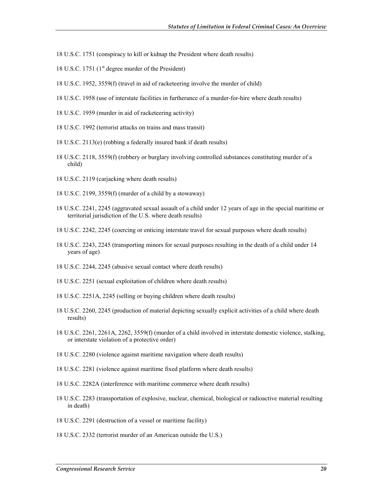- 18 U.S.C. 1751 (conspiracy to kill or kidnap the President where death results)
- 18 U.S.C. 1751 ( $1<sup>st</sup>$  degree murder of the President)
- 18 U.S.C. 1952, 3559(f) (travel in aid of racketeering involve the murder of child)
- 18 U.S.C. 1958 (use of interstate facilities in furtherance of a murder-for-hire where death results)
- 18 U.S.C. 1959 (murder in aid of racketeering activity)
- 18 U.S.C. 1992 (terrorist attacks on trains and mass transit)
- 18 U.S.C. 2113(e) (robbing a federally insured bank if death results)
- 18 U.S.C. 2118, 3559(f) (robbery or burglary involving controlled substances constituting murder of a child)
- 18 U.S.C. 2119 (carjacking where death results)
- 18 U.S.C. 2199, 3559(f) (murder of a child by a stowaway)
- 18 U.S.C. 2241, 2245 (aggravated sexual assault of a child under 12 years of age in the special maritime or territorial jurisdiction of the U.S. where death results)
- 18 U.S.C. 2242, 2245 (coercing or enticing interstate travel for sexual purposes where death results)
- 18 U.S.C. 2243, 2245 (transporting minors for sexual purposes resulting in the death of a child under 14 years of age)
- 18 U.S.C. 2244, 2245 (abusive sexual contact where death results)
- 18 U.S.C. 2251 (sexual exploitation of children where death results)
- 18 U.S.C. 2251A, 2245 (selling or buying children where death results)
- 18 U.S.C. 2260, 2245 (production of material depicting sexually explicit activities of a child where death results)
- 18 U.S.C. 2261, 2261A, 2262, 3559(f) (murder of a child involved in interstate domestic violence, stalking, or interstate violation of a protective order)
- 18 U.S.C. 2280 (violence against maritime navigation where death results)
- 18 U.S.C. 2281 (violence against maritime fixed platform where death results)
- 18 U.S.C. 2282A (interference with maritime commerce where death results)
- 18 U.S.C. 2283 (transportation of explosive, nuclear, chemical, biological or radioactive material resulting in death)
- 18 U.S.C. 2291 (destruction of a vessel or maritime facility)
- 18 U.S.C. 2332 (terrorist murder of an American outside the U.S.)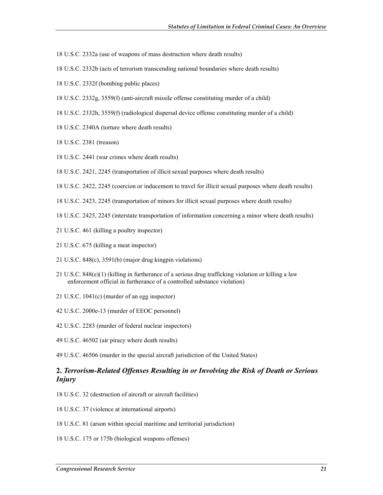- 18 U.S.C. 2332a (use of weapons of mass destruction where death results)
- 18 U.S.C. 2332b (acts of terrorism transcending national boundaries where death results)
- 18 U.S.C. 2332f (bombing public places)
- 18 U.S.C. 2332g, 3559(f) (anti-aircraft missile offense constituting murder of a child)
- 18 U.S.C. 2332h, 3559(f) (radiological dispersal device offense constituting murder of a child)
- 18 U.S.C. 2340A (torture where death results)
- 18 U.S.C. 2381 (treason)
- 18 U.S.C. 2441 (war crimes where death results)
- 18 U.S.C. 2421, 2245 (transportation of illicit sexual purposes where death results)
- 18 U.S.C. 2422, 2245 (coercion or inducement to travel for illicit sexual purposes where death results)
- 18 U.S.C. 2423, 2245 (transportation of minors for illicit sexual purposes where death results)
- 18 U.S.C. 2425, 2245 (interstate transportation of information concerning a minor where death results)
- 21 U.S.C. 461 (killing a poultry inspector)
- 21 U.S.C. 675 (killing a meat inspector)
- 21 U.S.C. 848(c), 3591(b) (major drug kingpin violations)
- 21 U.S.C. 848(e)(1) (killing in furtherance of a serious drug trafficking violation or killing a law enforcement official in furtherance of a controlled substance violation)
- 21 U.S.C. 1041(c) (murder of an egg inspector)
- 42 U.S.C. 2000e-13 (murder of EEOC personnel)
- 42 U.S.C. 2283 (murder of federal nuclear inspectors)
- 49 U.S.C. 46502 (air piracy where death results)

49 U.S.C. 46506 (murder in the special aircraft jurisdiction of the United States)

### **2.** *Terrorism-Related Offenses Resulting in or Involving the Risk of Death or Serious Injury*

- 18 U.S.C. 32 (destruction of aircraft or aircraft facilities)
- 18 U.S.C. 37 (violence at international airports)
- 18 U.S.C. 81 (arson within special maritime and territorial jurisdiction)
- 18 U.S.C. 175 or 175b (biological weapons offenses)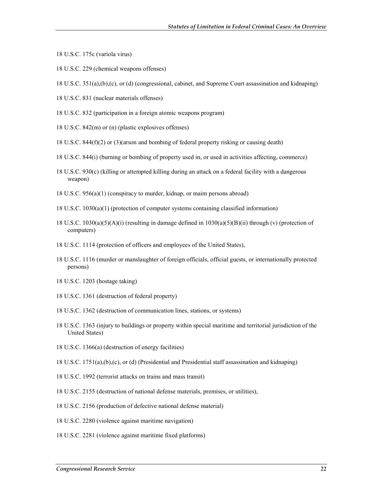- 18 U.S.C. 175c (variola virus)
- 18 U.S.C. 229 (chemical weapons offenses)
- 18 U.S.C. 351(a),(b),(c), or (d) (congressional, cabinet, and Supreme Court assassination and kidnaping)
- 18 U.S.C. 831 (nuclear materials offenses)
- 18 U.S.C. 832 (participation in a foreign atomic weapons program)
- 18 U.S.C. 842(m) or (n) (plastic explosives offenses)
- 18 U.S.C. 844(f)(2) or (3)(arson and bombing of federal property risking or causing death)
- 18 U.S.C. 844(i) (burning or bombing of property used in, or used in activities affecting, commerce)
- 18 U.S.C. 930(c) (killing or attempted killing during an attack on a federal facility with a dangerous weapon)
- 18 U.S.C. 956(a)(1) (conspiracy to murder, kidnap, or maim persons abroad)
- 18 U.S.C. 1030(a)(1) (protection of computer systems containing classified information)
- 18 U.S.C.  $1030(a)(5)(A)(i)$  (resulting in damage defined in  $1030(a)(5)(B)(ii)$  through (v) (protection of computers)
- 18 U.S.C. 1114 (protection of officers and employees of the United States),
- 18 U.S.C. 1116 (murder or manslaughter of foreign officials, official guests, or internationally protected persons)
- 18 U.S.C. 1203 (hostage taking)
- 18 U.S.C. 1361 (destruction of federal property)
- 18 U.S.C. 1362 (destruction of communication lines, stations, or systems)
- 18 U.S.C. 1363 (injury to buildings or property within special maritime and territorial jurisdiction of the United States)
- 18 U.S.C. 1366(a) (destruction of energy facilities)
- 18 U.S.C. 1751(a),(b),(c), or (d) (Presidential and Presidential staff assassination and kidnaping)
- 18 U.S.C. 1992 (terrorist attacks on trains and mass transit)
- 18 U.S.C. 2155 (destruction of national defense materials, premises, or utilities),
- 18 U.S.C. 2156 (production of defective national defense material)
- 18 U.S.C. 2280 (violence against maritime navigation)
- 18 U.S.C. 2281 (violence against maritime fixed platforms)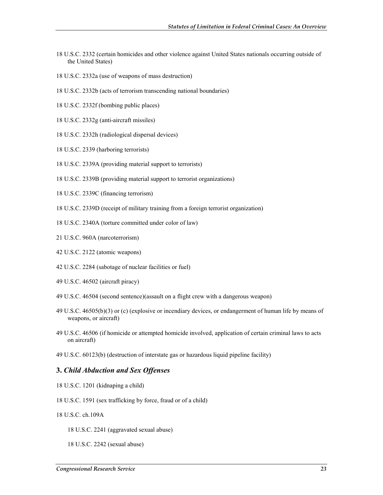- 18 U.S.C. 2332 (certain homicides and other violence against United States nationals occurring outside of the United States)
- 18 U.S.C. 2332a (use of weapons of mass destruction)
- 18 U.S.C. 2332b (acts of terrorism transcending national boundaries)
- 18 U.S.C. 2332f (bombing public places)
- 18 U.S.C. 2332g (anti-aircraft missiles)
- 18 U.S.C. 2332h (radiological dispersal devices)
- 18 U.S.C. 2339 (harboring terrorists)
- 18 U.S.C. 2339A (providing material support to terrorists)
- 18 U.S.C. 2339B (providing material support to terrorist organizations)
- 18 U.S.C. 2339C (financing terrorism)
- 18 U.S.C. 2339D (receipt of military training from a foreign terrorist organization)
- 18 U.S.C. 2340A (torture committed under color of law)
- 21 U.S.C. 960A (narcoterrorism)
- 42 U.S.C. 2122 (atomic weapons)
- 42 U.S.C. 2284 (sabotage of nuclear facilities or fuel)
- 49 U.S.C. 46502 (aircraft piracy)
- 49 U.S.C. 46504 (second sentence)(assault on a flight crew with a dangerous weapon)
- 49 U.S.C. 46505(b)(3) or (c) (explosive or incendiary devices, or endangerment of human life by means of weapons, or aircraft)
- 49 U.S.C. 46506 (if homicide or attempted homicide involved, application of certain criminal laws to acts on aircraft)
- 49 U.S.C. 60123(b) (destruction of interstate gas or hazardous liquid pipeline facility)

#### **3.** *Child Abduction and Sex Offenses*

- 18 U.S.C. 1201 (kidnaping a child)
- 18 U.S.C. 1591 (sex trafficking by force, fraud or of a child)
- 18 U.S.C. ch.109A
	- 18 U.S.C. 2241 (aggravated sexual abuse)
	- 18 U.S.C. 2242 (sexual abuse)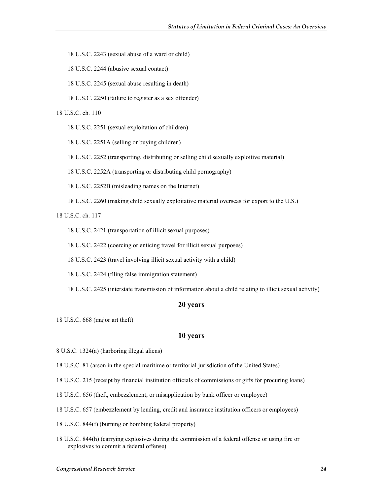- 18 U.S.C. 2243 (sexual abuse of a ward or child)
- 18 U.S.C. 2244 (abusive sexual contact)
- 18 U.S.C. 2245 (sexual abuse resulting in death)
- 18 U.S.C. 2250 (failure to register as a sex offender)

#### 18 U.S.C. ch. 110

- 18 U.S.C. 2251 (sexual exploitation of children)
- 18 U.S.C. 2251A (selling or buying children)
- 18 U.S.C. 2252 (transporting, distributing or selling child sexually exploitive material)
- 18 U.S.C. 2252A (transporting or distributing child pornography)
- 18 U.S.C. 2252B (misleading names on the Internet)
- 18 U.S.C. 2260 (making child sexually exploitative material overseas for export to the U.S.)

18 U.S.C. ch. 117

- 18 U.S.C. 2421 (transportation of illicit sexual purposes)
- 18 U.S.C. 2422 (coercing or enticing travel for illicit sexual purposes)
- 18 U.S.C. 2423 (travel involving illicit sexual activity with a child)
- 18 U.S.C. 2424 (filing false immigration statement)
- 18 U.S.C. 2425 (interstate transmission of information about a child relating to illicit sexual activity)

#### **20 years**

18 U.S.C. 668 (major art theft)

#### **10 years**

- 8 U.S.C. 1324(a) (harboring illegal aliens)
- 18 U.S.C. 81 (arson in the special maritime or territorial jurisdiction of the United States)
- 18 U.S.C. 215 (receipt by financial institution officials of commissions or gifts for procuring loans)
- 18 U.S.C. 656 (theft, embezzlement, or misapplication by bank officer or employee)
- 18 U.S.C. 657 (embezzlement by lending, credit and insurance institution officers or employees)
- 18 U.S.C. 844(f) (burning or bombing federal property)
- 18 U.S.C. 844(h) (carrying explosives during the commission of a federal offense or using fire or explosives to commit a federal offense)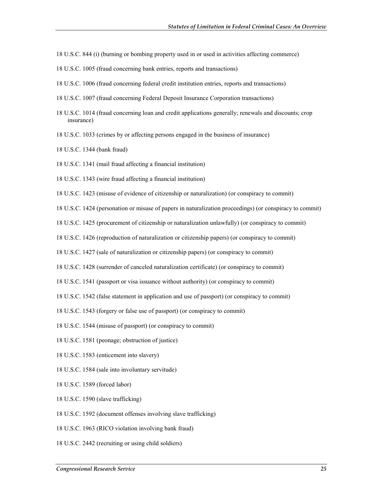- 18 U.S.C. 844 (i) (burning or bombing property used in or used in activities affecting commerce)
- 18 U.S.C. 1005 (fraud concerning bank entries, reports and transactions)
- 18 U.S.C. 1006 (fraud concerning federal credit institution entries, reports and transactions)
- 18 U.S.C. 1007 (fraud concerning Federal Deposit Insurance Corporation transactions)
- 18 U.S.C. 1014 (fraud concerning loan and credit applications generally; renewals and discounts; crop insurance)
- 18 U.S.C. 1033 (crimes by or affecting persons engaged in the business of insurance)
- 18 U.S.C. 1344 (bank fraud)
- 18 U.S.C. 1341 (mail fraud affecting a financial institution)
- 18 U.S.C. 1343 (wire fraud affecting a financial institution)
- 18 U.S.C. 1423 (misuse of evidence of citizenship or naturalization) (or conspiracy to commit)
- 18 U.S.C. 1424 (personation or misuse of papers in naturalization proceedings) (or conspiracy to commit)
- 18 U.S.C. 1425 (procurement of citizenship or naturalization unlawfully) (or conspiracy to commit)
- 18 U.S.C. 1426 (reproduction of naturalization or citizenship papers) (or conspiracy to commit)
- 18 U.S.C. 1427 (sale of naturalization or citizenship papers) (or conspiracy to commit)
- 18 U.S.C. 1428 (surrender of canceled naturalization certificate) (or conspiracy to commit)
- 18 U.S.C. 1541 (passport or visa issuance without authority) (or conspiracy to commit)
- 18 U.S.C. 1542 (false statement in application and use of passport) (or conspiracy to commit)
- 18 U.S.C. 1543 (forgery or false use of passport) (or conspiracy to commit)
- 18 U.S.C. 1544 (misuse of passport) (or conspiracy to commit)
- 18 U.S.C. 1581 (peonage; obstruction of justice)
- 18 U.S.C. 1583 (enticement into slavery)
- 18 U.S.C. 1584 (sale into involuntary servitude)
- 18 U.S.C. 1589 (forced labor)
- 18 U.S.C. 1590 (slave trafficking)
- 18 U.S.C. 1592 (document offenses involving slave trafficking)
- 18 U.S.C. 1963 (RICO violation involving bank fraud)
- 18 U.S.C. 2442 (recruiting or using child soldiers)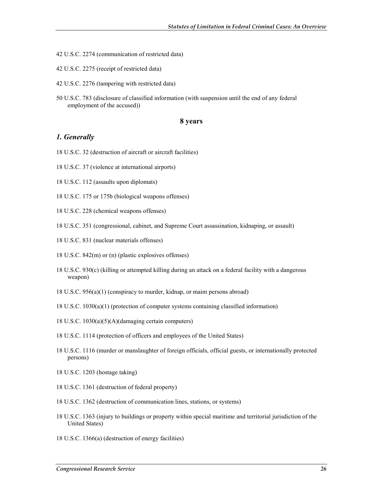- 42 U.S.C. 2274 (communication of restricted data)
- 42 U.S.C. 2275 (receipt of restricted data)
- 42 U.S.C. 2276 (tampering with restricted data)
- 50 U.S.C. 783 (disclosure of classified information (with suspension until the end of any federal employment of the accused))

#### **8 years**

#### *1. Generally*

- 18 U.S.C. 32 (destruction of aircraft or aircraft facilities)
- 18 U.S.C. 37 (violence at international airports)
- 18 U.S.C. 112 (assaults upon diplomats)
- 18 U.S.C. 175 or 175b (biological weapons offenses)
- 18 U.S.C. 228 (chemical weapons offenses)
- 18 U.S.C. 351 (congressional, cabinet, and Supreme Court assassination, kidnaping, or assault)
- 18 U.S.C. 831 (nuclear materials offenses)
- 18 U.S.C. 842(m) or (n) (plastic explosives offenses)
- 18 U.S.C. 930(c) (killing or attempted killing during an attack on a federal facility with a dangerous weapon)
- 18 U.S.C. 956(a)(1) (conspiracy to murder, kidnap, or maim persons abroad)
- 18 U.S.C. 1030(a)(1) (protection of computer systems containing classified information)
- 18 U.S.C. 1030(a)(5)(A)(damaging certain computers)
- 18 U.S.C. 1114 (protection of officers and employees of the United States)
- 18 U.S.C. 1116 (murder or manslaughter of foreign officials, official guests, or internationally protected persons)
- 18 U.S.C. 1203 (hostage taking)
- 18 U.S.C. 1361 (destruction of federal property)
- 18 U.S.C. 1362 (destruction of communication lines, stations, or systems)
- 18 U.S.C. 1363 (injury to buildings or property within special maritime and territorial jurisdiction of the United States)
- 18 U.S.C. 1366(a) (destruction of energy facilities)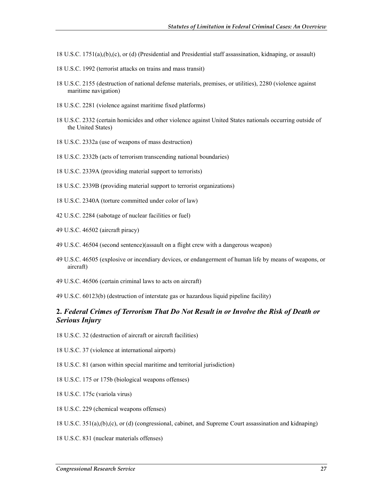- 18 U.S.C. 1751(a),(b),(c), or (d) (Presidential and Presidential staff assassination, kidnaping, or assault)
- 18 U.S.C. 1992 (terrorist attacks on trains and mass transit)
- 18 U.S.C. 2155 (destruction of national defense materials, premises, or utilities), 2280 (violence against maritime navigation)
- 18 U.S.C. 2281 (violence against maritime fixed platforms)
- 18 U.S.C. 2332 (certain homicides and other violence against United States nationals occurring outside of the United States)
- 18 U.S.C. 2332a (use of weapons of mass destruction)
- 18 U.S.C. 2332b (acts of terrorism transcending national boundaries)
- 18 U.S.C. 2339A (providing material support to terrorists)
- 18 U.S.C. 2339B (providing material support to terrorist organizations)
- 18 U.S.C. 2340A (torture committed under color of law)
- 42 U.S.C. 2284 (sabotage of nuclear facilities or fuel)
- 49 U.S.C. 46502 (aircraft piracy)
- 49 U.S.C. 46504 (second sentence)(assault on a flight crew with a dangerous weapon)
- 49 U.S.C. 46505 (explosive or incendiary devices, or endangerment of human life by means of weapons, or aircraft)
- 49 U.S.C. 46506 (certain criminal laws to acts on aircraft)
- 49 U.S.C. 60123(b) (destruction of interstate gas or hazardous liquid pipeline facility)

### **2.** *Federal Crimes of Terrorism That Do Not Result in or Involve the Risk of Death or Serious Injury*

- 18 U.S.C. 32 (destruction of aircraft or aircraft facilities)
- 18 U.S.C. 37 (violence at international airports)
- 18 U.S.C. 81 (arson within special maritime and territorial jurisdiction)
- 18 U.S.C. 175 or 175b (biological weapons offenses)
- 18 U.S.C. 175c (variola virus)
- 18 U.S.C. 229 (chemical weapons offenses)

18 U.S.C. 351(a),(b),(c), or (d) (congressional, cabinet, and Supreme Court assassination and kidnaping)

18 U.S.C. 831 (nuclear materials offenses)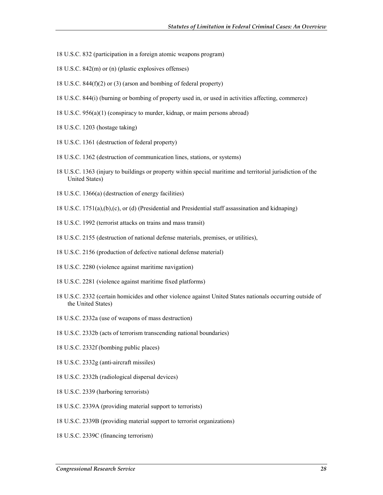- 18 U.S.C. 832 (participation in a foreign atomic weapons program)
- 18 U.S.C. 842(m) or (n) (plastic explosives offenses)
- 18 U.S.C. 844(f)(2) or (3) (arson and bombing of federal property)
- 18 U.S.C. 844(i) (burning or bombing of property used in, or used in activities affecting, commerce)
- 18 U.S.C. 956(a)(1) (conspiracy to murder, kidnap, or maim persons abroad)
- 18 U.S.C. 1203 (hostage taking)
- 18 U.S.C. 1361 (destruction of federal property)
- 18 U.S.C. 1362 (destruction of communication lines, stations, or systems)
- 18 U.S.C. 1363 (injury to buildings or property within special maritime and territorial jurisdiction of the United States)
- 18 U.S.C. 1366(a) (destruction of energy facilities)
- 18 U.S.C. 1751(a),(b),(c), or (d) (Presidential and Presidential staff assassination and kidnaping)
- 18 U.S.C. 1992 (terrorist attacks on trains and mass transit)
- 18 U.S.C. 2155 (destruction of national defense materials, premises, or utilities),
- 18 U.S.C. 2156 (production of defective national defense material)
- 18 U.S.C. 2280 (violence against maritime navigation)
- 18 U.S.C. 2281 (violence against maritime fixed platforms)
- 18 U.S.C. 2332 (certain homicides and other violence against United States nationals occurring outside of the United States)
- 18 U.S.C. 2332a (use of weapons of mass destruction)
- 18 U.S.C. 2332b (acts of terrorism transcending national boundaries)
- 18 U.S.C. 2332f (bombing public places)
- 18 U.S.C. 2332g (anti-aircraft missiles)
- 18 U.S.C. 2332h (radiological dispersal devices)
- 18 U.S.C. 2339 (harboring terrorists)
- 18 U.S.C. 2339A (providing material support to terrorists)
- 18 U.S.C. 2339B (providing material support to terrorist organizations)
- 18 U.S.C. 2339C (financing terrorism)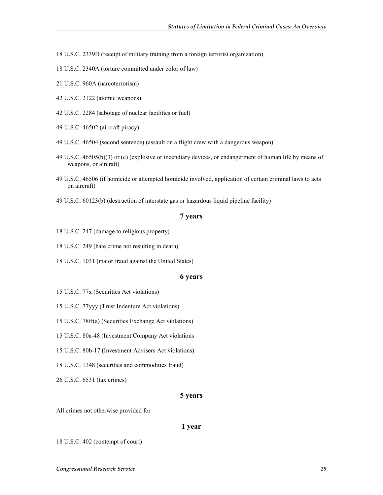18 U.S.C. 2339D (receipt of military training from a foreign terrorist organization)

- 18 U.S.C. 2340A (torture committed under color of law)
- 21 U.S.C. 960A (narcoterrorism)
- 42 U.S.C. 2122 (atomic weapons)
- 42 U.S.C. 2284 (sabotage of nuclear facilities or fuel)
- 49 U.S.C. 46502 (aircraft piracy)
- 49 U.S.C. 46504 (second sentence) (assault on a flight crew with a dangerous weapon)
- 49 U.S.C. 46505(b)(3) or (c) (explosive or incendiary devices, or endangerment of human life by means of weapons, or aircraft)
- 49 U.S.C. 46506 (if homicide or attempted homicide involved, application of certain criminal laws to acts on aircraft)
- 49 U.S.C. 60123(b) (destruction of interstate gas or hazardous liquid pipeline facility)

### **7 years**

- 18 U.S.C. 247 (damage to religious property)
- 18 U.S.C. 249 (hate crime not resulting in death)
- 18 U.S.C. 1031 (major fraud against the United States)

#### **6 years**

- 15 U.S.C. 77x (Securities Act violations)
- 15 U.S.C. 77yyy (Trust Indenture Act violations)
- 15 U.S.C. 78ff(a) (Securities Exchange Act violations)
- 15 U.S.C. 80a-48 (Investment Company Act violations
- 15 U.S.C. 80b-17 (Investment Advisers Act violations)
- 18 U.S.C. 1348 (securities and commodities fraud)
- 26 U.S.C. 6531 (tax crimes)

#### **5 years**

All crimes not otherwise provided for

#### **1 year**

18 U.S.C. 402 (contempt of court)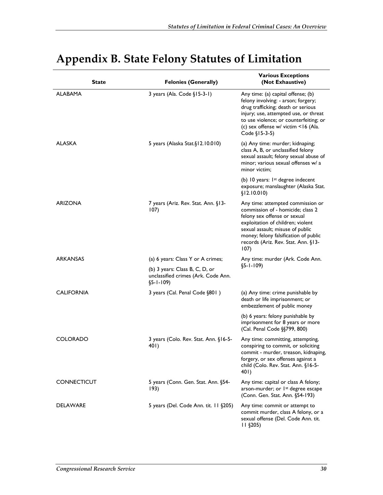| <b>State</b>       | <b>Felonies (Generally)</b>                                                                                | <b>Various Exceptions</b><br>(Not Exhaustive)                                                                                                                                                                                                                           |
|--------------------|------------------------------------------------------------------------------------------------------------|-------------------------------------------------------------------------------------------------------------------------------------------------------------------------------------------------------------------------------------------------------------------------|
| <b>ALABAMA</b>     | 3 years (Ala. Code $\S$ 15-3-1)                                                                            | Any time: (a) capital offense; (b)<br>felony involving: - arson; forgery;<br>drug trafficking; death or serious<br>injury; use, attempted use, or threat<br>to use violence; or counterfeiting; or<br>(c) sex offense w/ victim <16 (Ala.<br>Code §15-3-5)              |
| <b>ALASKA</b>      | 5 years (Alaska Stat.§12.10.010)                                                                           | (a) Any time: murder; kidnaping;<br>class A, B, or unclassified felony<br>sexual assault; felony sexual abuse of<br>minor; various sexual offenses w/ a<br>minor victim;                                                                                                |
|                    |                                                                                                            | (b) 10 years: 1 <sup>st</sup> degree indecent<br>exposure; manslaughter (Alaska Stat.<br>\$12.10.010                                                                                                                                                                    |
| <b>ARIZONA</b>     | 7 years (Ariz. Rev. Stat. Ann. §13-<br>107)                                                                | Any time: attempted commission or<br>commission of - homicide; class 2<br>felony sex offense or sexual<br>exploitation of children; violent<br>sexual assault; misuse of public<br>money; felony falsification of public<br>records (Ariz. Rev. Stat. Ann. §13-<br>107) |
| <b>ARKANSAS</b>    | (a) 6 years: Class Y or A crimes;<br>(b) 3 years: Class B, C, D, or<br>unclassified crimes (Ark. Code Ann. | Any time: murder (Ark. Code Ann.<br>$§5 - 1 - 109$                                                                                                                                                                                                                      |
|                    | $$5-1-109$                                                                                                 |                                                                                                                                                                                                                                                                         |
| <b>CALIFORNIA</b>  | 3 years (Cal. Penal Code §801)                                                                             | (a) Any time: crime punishable by<br>death or life imprisonment; or<br>embezzlement of public money                                                                                                                                                                     |
|                    |                                                                                                            | (b) 6 years: felony punishable by<br>imprisonment for 8 years or more<br>(Cal. Penal Code §§799, 800)                                                                                                                                                                   |
| <b>COLORADO</b>    | 3 years (Colo. Rev. Stat. Ann. §16-5-<br>40I)                                                              | Any time: committing, attempting,<br>conspiring to commit, or soliciting<br>commit - murder, treason, kidnaping,<br>forgery, or sex offenses against a<br>child (Colo. Rev. Stat. Ann. §16-5-<br>40I)                                                                   |
| <b>CONNECTICUT</b> | 5 years (Conn. Gen. Stat. Ann. §54-<br>193)                                                                | Any time: capital or class A felony;<br>arson-murder; or 1 <sup>st</sup> degree escape<br>(Conn. Gen. Stat. Ann. §54-193)                                                                                                                                               |
| <b>DELAWARE</b>    | 5 years (Del. Code Ann. tit. 11 §205)                                                                      | Any time: commit or attempt to<br>commit murder, class A felony, or a<br>sexual offense (Del. Code Ann. tit.<br>$11$ $$205)$                                                                                                                                            |

## **Appendix B. State Felony Statutes of Limitation**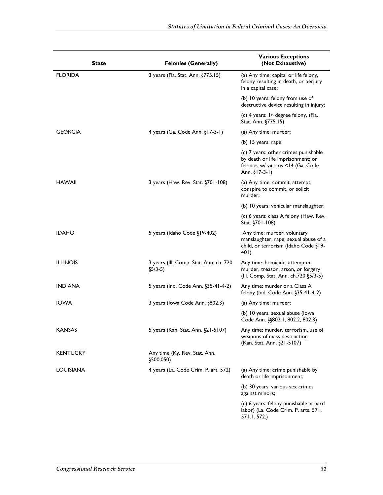| <b>State</b>     | <b>Felonies (Generally)</b>                         | <b>Various Exceptions</b><br>(Not Exhaustive)                                                                                      |
|------------------|-----------------------------------------------------|------------------------------------------------------------------------------------------------------------------------------------|
| <b>FLORIDA</b>   | 3 years (Fla. Stat. Ann. §775.15)                   | (a) Any time: capital or life felony,<br>felony resulting in death, or perjury<br>in a capital case;                               |
|                  |                                                     | (b) 10 years: felony from use of<br>destructive device resulting in injury;                                                        |
|                  |                                                     | (c) 4 years: 1 <sup>st</sup> degree felony, (Fla.<br>Stat. Ann. §775.15)                                                           |
| <b>GEORGIA</b>   | 4 years (Ga. Code Ann. §17-3-1)                     | (a) Any time: murder;                                                                                                              |
|                  |                                                     | $(b)$ 15 years: rape;                                                                                                              |
|                  |                                                     | (c) 7 years: other crimes punishable<br>by death or life imprisonment; or<br>felonies w/ victims <14 (Ga. Code<br>Ann. $\S17-3-1)$ |
| HAWAII           | 3 years (Haw. Rev. Stat. §701-108)                  | (a) Any time: commit, attempt,<br>conspire to commit, or solicit<br>murder;                                                        |
|                  |                                                     | (b) 10 years: vehicular manslaughter;                                                                                              |
|                  |                                                     | (c) 6 years: class A felony (Haw. Rev.<br>Stat. §701-108)                                                                          |
| <b>IDAHO</b>     | 5 years (Idaho Code §19-402)                        | Any time: murder, voluntary<br>manslaughter, rape, sexual abuse of a<br>child, or terrorism (Idaho Code §19-<br>40I)               |
| <b>ILLINOIS</b>  | 3 years (Ill. Comp. Stat. Ann. ch. 720<br>$$5/3-5)$ | Any time: homicide, attempted<br>murder, treason, arson, or forgery<br>(III. Comp. Stat. Ann. ch.720 §5/3-5)                       |
| <b>INDIANA</b>   | 5 years (Ind. Code Ann. §35-41-4-2)                 | Any time: murder or a Class A<br>felony (Ind. Code Ann. §35-41-4-2)                                                                |
| IOWA             | 3 years (lowa Code Ann. §802.3)                     | (a) Any time: murder;                                                                                                              |
|                  |                                                     | (b) 10 years: sexual abuse (lowa<br>Code Ann. §§802.1, 802.2, 802.3)                                                               |
| <b>KANSAS</b>    | 5 years (Kan. Stat. Ann. §21-5107)                  | Any time: murder, terrorism, use of<br>weapons of mass destruction<br>(Kan. Stat. Ann. §21-5107)                                   |
| <b>KENTUCKY</b>  | Any time (Ky. Rev. Stat. Ann.<br>\$500.050)         |                                                                                                                                    |
| <b>LOUISIANA</b> | 4 years (La. Code Crim. P. art. 572)                | (a) Any time: crime punishable by<br>death or life imprisonment;                                                                   |
|                  |                                                     | (b) 30 years: various sex crimes<br>against minors;                                                                                |
|                  |                                                     | (c) 6 years: felony punishable at hard<br>labor) (La. Code Crim. P. arts. 571,<br>571.1.572.)                                      |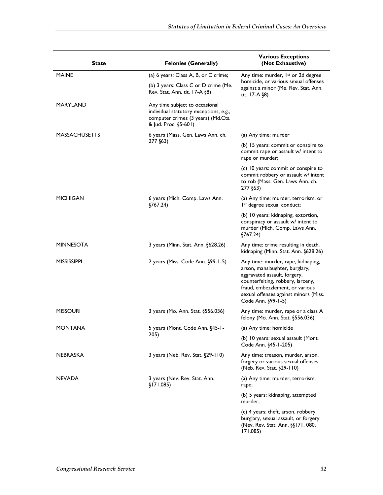| <b>State</b>         | <b>Felonies (Generally)</b>                                                                                                            | <b>Various Exceptions</b><br>(Not Exhaustive)                                                                                                                                                                                               |
|----------------------|----------------------------------------------------------------------------------------------------------------------------------------|---------------------------------------------------------------------------------------------------------------------------------------------------------------------------------------------------------------------------------------------|
| <b>MAINE</b>         | (a) 6 years: Class A, B, or C crime;                                                                                                   | Any time: murder, 1st or 2d degree                                                                                                                                                                                                          |
|                      | (b) 3 years: Class C or D crime (Me.<br>Rev. Stat. Ann. tit. 17-A §8)                                                                  | homicide, or various sexual offenses<br>against a minor (Me. Rev. Stat. Ann.<br>tit. 17-A §8)                                                                                                                                               |
| <b>MARYLAND</b>      | Any time subject to occasional<br>individual statutory exceptions, e.g.,<br>computer crimes (3 years) (Md.Cts.<br>& Jud. Proc. §5-601) |                                                                                                                                                                                                                                             |
| <b>MASSACHUSETTS</b> | 6 years (Mass. Gen. Laws Ann. ch.                                                                                                      | (a) Any time: murder                                                                                                                                                                                                                        |
|                      | 277 §63)                                                                                                                               | (b) 15 years: commit or conspire to<br>commit rape or assault w/ intent to<br>rape or murder;                                                                                                                                               |
|                      |                                                                                                                                        | (c) 10 years: commit or conspire to<br>commit robbery or assault w/ intent<br>to rob (Mass. Gen. Laws Ann. ch.<br>277 §63)                                                                                                                  |
| <b>MICHIGAN</b>      | 6 years (Mich. Comp. Laws Ann.<br>§767.24)                                                                                             | (a) Any time: murder, terrorism, or<br>Ist degree sexual conduct;                                                                                                                                                                           |
|                      |                                                                                                                                        | (b) 10 years: kidnaping, extortion,<br>conspiracy or assault w/ intent to<br>murder (Mich. Comp. Laws Ann.<br>§767.24)                                                                                                                      |
| <b>MINNESOTA</b>     | 3 years (Minn. Stat. Ann. §628.26)                                                                                                     | Any time: crime resulting in death,<br>kidnaping (Minn. Stat. Ann. §628.26)                                                                                                                                                                 |
| <b>MISSISSIPPI</b>   | 2 years (Miss. Code Ann. §99-1-5)                                                                                                      | Any time: murder, rape, kidnaping,<br>arson, manslaughter, burglary,<br>aggravated assault, forgery,<br>counterfeiting, robbery, larceny,<br>fraud, embezzlement, or various<br>sexual offenses against minors (Miss.<br>Code Ann. §99-1-5) |
| <b>MISSOURI</b>      | 3 years (Mo. Ann. Stat. §556.036)                                                                                                      | Any time: murder, rape or a class A<br>felony (Mo. Ann. Stat. §556.036)                                                                                                                                                                     |
| MONTANA              | 5 years (Mont. Code Ann. §45-1-                                                                                                        | (a) Any time: homicide                                                                                                                                                                                                                      |
|                      | 205)                                                                                                                                   | (b) 10 years: sexual assault (Mont.<br>Code Ann. §45-1-205)                                                                                                                                                                                 |
| <b>NEBRASKA</b>      | 3 years (Neb. Rev. Stat. §29-110)                                                                                                      | Any time: treason, murder, arson,<br>forgery or various sexual offenses<br>(Neb. Rev. Stat. §29-110)                                                                                                                                        |
| <b>NEVADA</b>        | 3 years (Nev. Rev. Stat. Ann.<br>\$171.085)                                                                                            | (a) Any time: murder, terrorism,<br>rape;                                                                                                                                                                                                   |
|                      |                                                                                                                                        | (b) 5 years: kidnaping, attempted<br>murder;                                                                                                                                                                                                |
|                      |                                                                                                                                        | (c) 4 years: theft, arson, robbery,<br>burglary, sexual assault, or forgery<br>(Nev. Rev. Stat. Ann. §§171. 080,<br>171.085)                                                                                                                |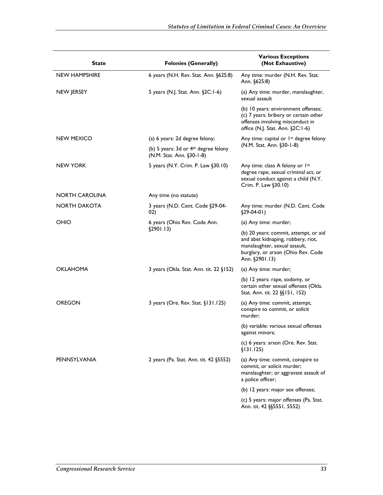| <b>State</b>         | <b>Felonies (Generally)</b>                                         | <b>Various Exceptions</b><br>(Not Exhaustive)                                                                                                                        |
|----------------------|---------------------------------------------------------------------|----------------------------------------------------------------------------------------------------------------------------------------------------------------------|
| <b>NEW HAMPSHIRE</b> | 6 years (N.H. Rev. Stat. Ann. §625:8)                               | Any time: murder (N.H. Rev. Stat.<br>Ann. §625:8)                                                                                                                    |
| <b>NEW JERSEY</b>    | 5 years (N.J. Stat. Ann. §2C:1-6)                                   | (a) Any time: murder, manslaughter,<br>sexual assault                                                                                                                |
|                      |                                                                     | (b) 10 years: environment offenses;<br>(c) 7 years: bribery or certain other<br>offenses involving misconduct in<br>office (N.J. Stat. Ann. §2C:1-6)                 |
| <b>NEW MEXICO</b>    | (a) 6 years: 2d degree felony;                                      | Any time: capital or 1st degree felony                                                                                                                               |
|                      | (b) 5 years: 3d or $4th$ degree felony<br>(N.M. Stat. Ann. §30-1-8) | (N.M. Stat. Ann. §30-1-8)                                                                                                                                            |
| NEW YORK             | 5 years (N.Y. Crim. P. Law §30.10)                                  | Any time: class A felony or 1st<br>degree rape, sexual criminal act, or<br>sexual conduct against a child (N.Y.<br>Crim. P. Law §30.10)                              |
| NORTH CAROLINA       | Any time (no statute)                                               |                                                                                                                                                                      |
| NORTH DAKOTA         | 3 years (N.D. Cent. Code §29-04-<br>02)                             | Any time: murder (N.D. Cent. Code<br>$$29-04-01)$                                                                                                                    |
| OHIO                 | 6 years (Ohio Rev. Code Ann.                                        | (a) Any time: murder;                                                                                                                                                |
|                      | \$2901.13)                                                          | (b) 20 years: commit, attempt, or aid<br>and abet kidnaping, robbery, riot,<br>manslaughter, sexual assault,<br>burglary, or arson (Ohio Rev. Code<br>Ann. §2901.13) |
| OKLAHOMA             | 3 years (Okla. Stat. Ann. tit. 22 §152)                             | (a) Any time: murder;                                                                                                                                                |
|                      |                                                                     | (b) 12 years: rape, sodomy, or<br>certain other sexual offenses (Okla.<br>Stat. Ann. tit. 22 §§151, 152)                                                             |
| OREGON               | 3 years (Ore. Rev. Stat. §131.125)                                  | (a) Any time: commit, attempt,<br>conspire to commit, or solicit<br>murder:                                                                                          |
|                      |                                                                     | (b) variable: various sexual offenses<br>against minors;                                                                                                             |
|                      |                                                                     | (c) 6 years: arson (Ore. Rev. Stat.<br>\$131.125                                                                                                                     |
| PENNSYLVANIA         | 2 years (Pa. Stat. Ann. tit. 42 §5552)                              | (a) Any time: commit, conspire to<br>commit, or solicit murder;<br>manslaughter; or aggravate assault of<br>a police officer;                                        |
|                      |                                                                     | (b) 12 years: major sex offenses;                                                                                                                                    |
|                      |                                                                     | (c) 5 years: major offenses (Pa. Stat.<br>Ann. tit. 42 §§5551, 5552)                                                                                                 |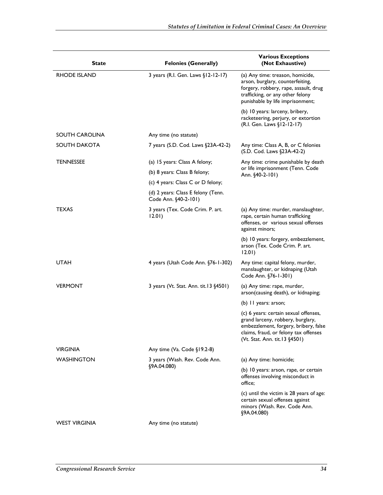| <b>State</b>         | <b>Felonies (Generally)</b>                                | <b>Various Exceptions</b><br>(Not Exhaustive)                                                                                                                                                 |
|----------------------|------------------------------------------------------------|-----------------------------------------------------------------------------------------------------------------------------------------------------------------------------------------------|
| <b>RHODE ISLAND</b>  | 3 years (R.I. Gen. Laws §12-12-17)                         | (a) Any time: treason, homicide,<br>arson, burglary, counterfeiting,<br>forgery, robbery, rape, assault, drug<br>trafficking, or any other felony<br>punishable by life imprisonment;         |
|                      |                                                            | (b) 10 years: larceny, bribery,<br>racketeering, perjury, or extortion<br>(R.I. Gen. Laws §12-12-17)                                                                                          |
| SOUTH CAROLINA       | Any time (no statute)                                      |                                                                                                                                                                                               |
| SOUTH DAKOTA         | 7 years (S.D. Cod. Laws §23A-42-2)                         | Any time: Class A, B, or C felonies<br>(S.D. Cod. Laws §23A-42-2)                                                                                                                             |
| <b>TENNESSEE</b>     | (a) 15 years: Class A felony;                              | Any time: crime punishable by death                                                                                                                                                           |
|                      | (b) 8 years: Class B felony;                               | or life imprisonment (Tenn. Code<br>Ann. §40-2-101)                                                                                                                                           |
|                      | (c) 4 years: Class C or D felony;                          |                                                                                                                                                                                               |
|                      | (d) 2 years: Class E felony (Tenn.<br>Code Ann. §40-2-101) |                                                                                                                                                                                               |
| <b>TEXAS</b>         | 3 years (Tex. Code Crim. P. art.<br>12.01)                 | (a) Any time: murder, manslaughter,<br>rape, certain human trafficking<br>offenses, or various sexual offenses<br>against minors;                                                             |
|                      |                                                            | (b) 10 years: forgery, embezzlement,<br>arson (Tex. Code Crim. P. art.<br>12.01)                                                                                                              |
| UTAH                 | 4 years (Utah Code Ann. §76-1-302)                         | Any time: capital felony, murder,<br>manslaughter, or kidnaping (Utah<br>Code Ann. §76-1-301)                                                                                                 |
| <b>VERMONT</b>       | 3 years (Vt. Stat. Ann. tit.13 §4501)                      | (a) Any time: rape, murder,<br>arson(causing death), or kidnaping;                                                                                                                            |
|                      |                                                            | (b) II years: arson;                                                                                                                                                                          |
|                      |                                                            | (c) 6 years: certain sexual offenses,<br>grand larceny, robbery, burglary,<br>embezzlement, forgery, bribery, false<br>claims, fraud, or felony tax offenses<br>(Vt. Stat. Ann. tit.13 §4501) |
| <b>VIRGINIA</b>      | Any time (Va. Code §19.2-8)                                |                                                                                                                                                                                               |
| <b>WASHINGTON</b>    | 3 years (Wash. Rev. Code Ann.                              | (a) Any time: homicide;                                                                                                                                                                       |
|                      | §9A.04.080)                                                | (b) 10 years: arson, rape, or certain<br>offenses involving misconduct in<br>office;                                                                                                          |
|                      |                                                            | (c) until the victim is 28 years of age:<br>certain sexual offenses against<br>minors (Wash. Rev. Code Ann.<br>§9A.04.080)                                                                    |
| <b>WEST VIRGINIA</b> | Any time (no statute)                                      |                                                                                                                                                                                               |